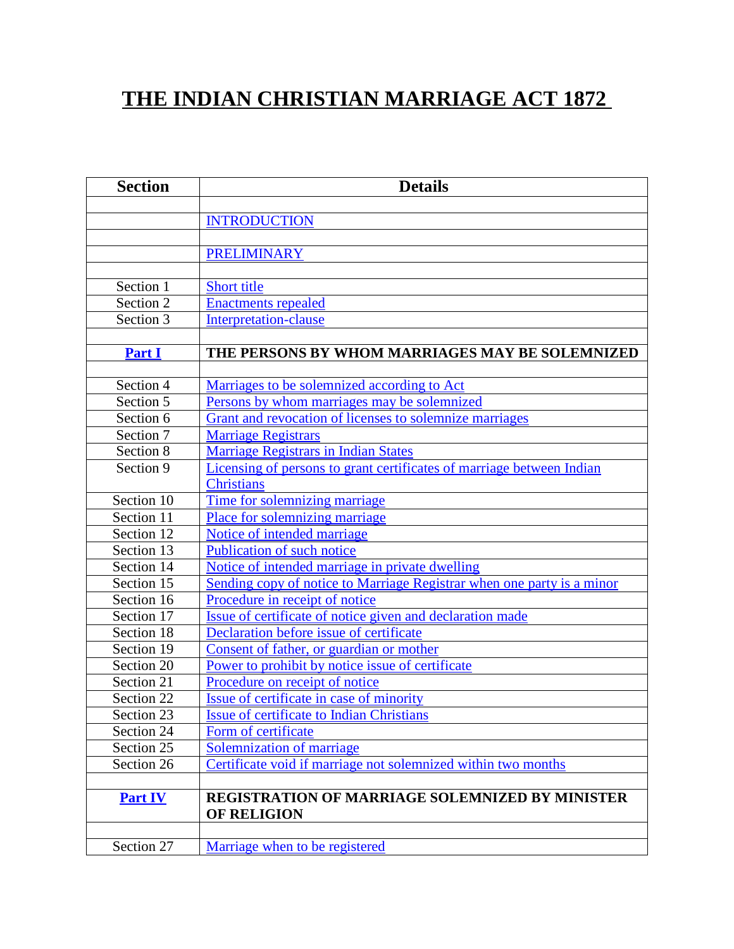# **THE INDIAN CHRISTIAN MARRIAGE ACT 1872**

| <b>Section</b> | <b>Details</b>                                                         |
|----------------|------------------------------------------------------------------------|
|                |                                                                        |
|                | <b>INTRODUCTION</b>                                                    |
|                |                                                                        |
|                | <b>PRELIMINARY</b>                                                     |
|                |                                                                        |
| Section 1      | Short title                                                            |
| Section 2      | <b>Enactments repealed</b>                                             |
| Section 3      | <b>Interpretation-clause</b>                                           |
|                |                                                                        |
| <b>Part I</b>  | THE PERSONS BY WHOM MARRIAGES MAY BE SOLEMNIZED                        |
|                |                                                                        |
| Section 4      | Marriages to be solemnized according to Act                            |
| Section 5      | Persons by whom marriages may be solemnized                            |
| Section 6      | Grant and revocation of licenses to solemnize marriages                |
| Section 7      | <b>Marriage Registrars</b>                                             |
| Section 8      | <b>Marriage Registrars in Indian States</b>                            |
| Section 9      | Licensing of persons to grant certificates of marriage between Indian  |
|                | <b>Christians</b>                                                      |
| Section 10     | Time for solemnizing marriage                                          |
| Section 11     | Place for solemnizing marriage                                         |
| Section 12     | Notice of intended marriage                                            |
| Section 13     | Publication of such notice                                             |
| Section 14     | Notice of intended marriage in private dwelling                        |
| Section 15     | Sending copy of notice to Marriage Registrar when one party is a minor |
| Section 16     | Procedure in receipt of notice                                         |
| Section 17     | Issue of certificate of notice given and declaration made              |
| Section 18     | Declaration before issue of certificate                                |
| Section 19     | Consent of father, or guardian or mother                               |
| Section 20     | Power to prohibit by notice issue of certificate                       |
| Section 21     | Procedure on receipt of notice                                         |
| Section 22     | Issue of certificate in case of minority                               |
| Section 23     | <b>Issue of certificate to Indian Christians</b>                       |
| Section 24     | Form of certificate                                                    |
| Section 25     | <b>Solemnization of marriage</b>                                       |
| Section 26     | Certificate void if marriage not solemnized within two months          |
|                |                                                                        |
| <b>Part IV</b> | <b>REGISTRATION OF MARRIAGE SOLEMNIZED BY MINISTER</b>                 |
|                | <b>OF RELIGION</b>                                                     |
|                |                                                                        |
| Section 27     | Marriage when to be registered                                         |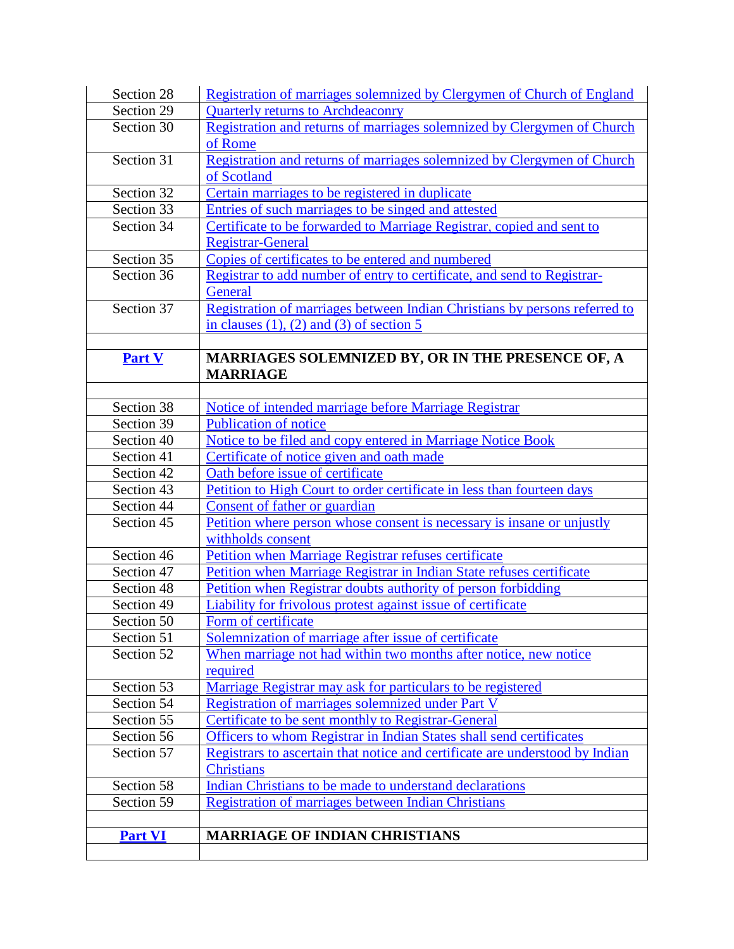| Section 28               | Registration of marriages solemnized by Clergymen of Church of England       |
|--------------------------|------------------------------------------------------------------------------|
| Section 29               | <b>Quarterly returns to Archdeaconry</b>                                     |
| Section 30               | Registration and returns of marriages solemnized by Clergymen of Church      |
|                          | of Rome                                                                      |
| Section 31               | Registration and returns of marriages solemnized by Clergymen of Church      |
|                          | of Scotland                                                                  |
| Section 32               | Certain marriages to be registered in duplicate                              |
| Section 33               | Entries of such marriages to be singed and attested                          |
| Section 34               | Certificate to be forwarded to Marriage Registrar, copied and sent to        |
|                          | <b>Registrar-General</b>                                                     |
| Section 35               | Copies of certificates to be entered and numbered                            |
| Section 36               | Registrar to add number of entry to certificate, and send to Registrar-      |
|                          | <b>General</b>                                                               |
| Section 37               | Registration of marriages between Indian Christians by persons referred to   |
|                          | in clauses $(1)$ , $(2)$ and $(3)$ of section 5                              |
|                          |                                                                              |
| <b>Part V</b>            | MARRIAGES SOLEMNIZED BY, OR IN THE PRESENCE OF, A                            |
|                          | <b>MARRIAGE</b>                                                              |
|                          |                                                                              |
| Section 38               | Notice of intended marriage before Marriage Registrar                        |
| Section 39               | <b>Publication of notice</b>                                                 |
| Section 40               | Notice to be filed and copy entered in Marriage Notice Book                  |
| Section 41               | Certificate of notice given and oath made                                    |
| Section 42               | Oath before issue of certificate                                             |
| Section 43               | Petition to High Court to order certificate in less than fourteen days       |
| Section 44               | Consent of father or guardian                                                |
| Section 45               | Petition where person whose consent is necessary is insane or unjustly       |
| Section 46               | withholds consent                                                            |
| Section 47               | Petition when Marriage Registrar refuses certificate                         |
|                          | Petition when Marriage Registrar in Indian State refuses certificate         |
| Section 48<br>Section 49 | Petition when Registrar doubts authority of person forbidding                |
|                          | Liability for frivolous protest against issue of certificate                 |
| Section 50               | Form of certificate<br>Solemnization of marriage after issue of certificate  |
| Section 51<br>Section 52 | When marriage not had within two months after notice, new notice             |
|                          |                                                                              |
| Section 53               | required<br>Marriage Registrar may ask for particulars to be registered      |
| Section 54               | Registration of marriages solemnized under Part V                            |
| Section 55               | Certificate to be sent monthly to Registrar-General                          |
| Section 56               | Officers to whom Registrar in Indian States shall send certificates          |
| Section 57               | Registrars to ascertain that notice and certificate are understood by Indian |
|                          | <b>Christians</b>                                                            |
|                          | Indian Christians to be made to understand declarations                      |
| Section 58<br>Section 59 | Registration of marriages between Indian Christians                          |
|                          |                                                                              |
| <b>Part VI</b>           | <b>MARRIAGE OF INDIAN CHRISTIANS</b>                                         |
|                          |                                                                              |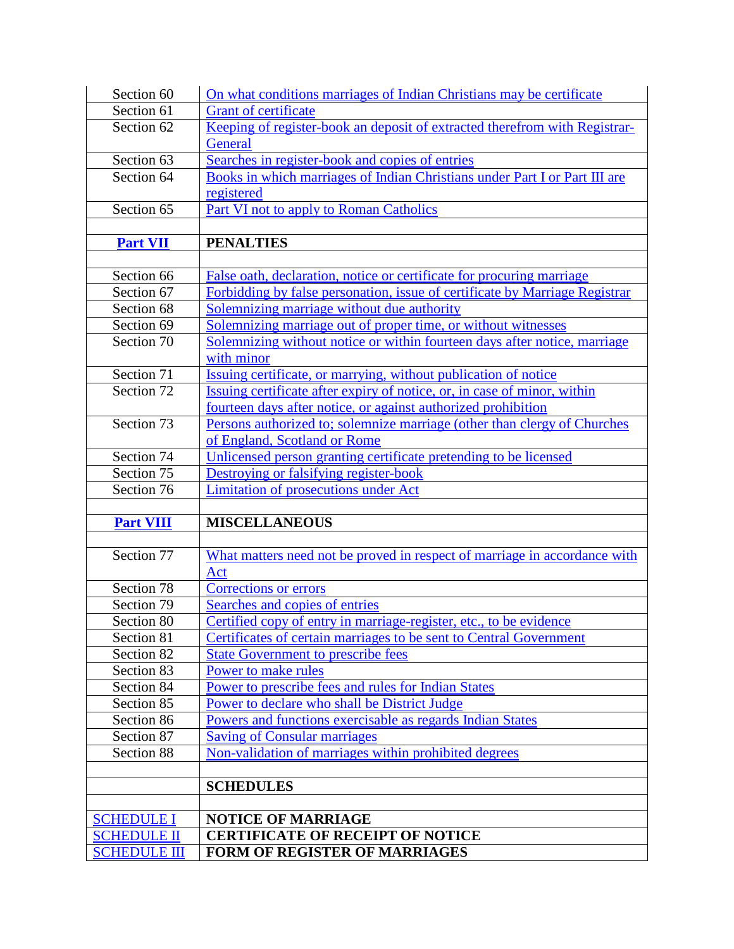| Section 60                                | On what conditions marriages of Indian Christians may be certificate        |
|-------------------------------------------|-----------------------------------------------------------------------------|
| Section 61                                | <b>Grant of certificate</b>                                                 |
| Section 62                                | Keeping of register-book an deposit of extracted therefrom with Registrar-  |
|                                           | <b>General</b>                                                              |
| Section 63                                | Searches in register-book and copies of entries                             |
| Section 64                                | Books in which marriages of Indian Christians under Part I or Part III are  |
|                                           | registered                                                                  |
| Section 65                                | <b>Part VI not to apply to Roman Catholics</b>                              |
|                                           |                                                                             |
| <b>Part VII</b>                           | <b>PENALTIES</b>                                                            |
|                                           |                                                                             |
| Section 66                                | False oath, declaration, notice or certificate for procuring marriage       |
| Section 67                                | Forbidding by false personation, issue of certificate by Marriage Registrar |
| Section 68                                | Solemnizing marriage without due authority                                  |
| Section 69                                | Solemnizing marriage out of proper time, or without witnesses               |
| Section 70                                | Solemnizing without notice or within fourteen days after notice, marriage   |
|                                           | with minor                                                                  |
| Section 71                                | Issuing certificate, or marrying, without publication of notice             |
| Section 72                                | Issuing certificate after expiry of notice, or, in case of minor, within    |
|                                           | fourteen days after notice, or against authorized prohibition               |
| Section 73                                | Persons authorized to; solemnize marriage (other than clergy of Churches    |
|                                           | of England, Scotland or Rome                                                |
| Section 74                                | Unlicensed person granting certificate pretending to be licensed            |
| Section 75                                | Destroying or falsifying register-book                                      |
| Section 76                                | Limitation of prosecutions under Act                                        |
|                                           | <b>MISCELLANEOUS</b>                                                        |
| <b>Part VIII</b>                          |                                                                             |
| Section 77                                | What matters need not be proved in respect of marriage in accordance with   |
|                                           | Act                                                                         |
| Section 78                                | <b>Corrections or errors</b>                                                |
| Section 79                                | Searches and copies of entries                                              |
| Section 80                                | Certified copy of entry in marriage-register, etc., to be evidence          |
| Section 81                                | Certificates of certain marriages to be sent to Central Government          |
| Section 82                                | <b>State Government to prescribe fees</b>                                   |
| Section 83                                | Power to make rules                                                         |
| Section 84                                | Power to prescribe fees and rules for Indian States                         |
| Section 85                                | Power to declare who shall be District Judge                                |
| Section 86                                |                                                                             |
|                                           | Powers and functions exercisable as regards Indian States                   |
| Section 87                                | <b>Saving of Consular marriages</b>                                         |
| Section 88                                | Non-validation of marriages within prohibited degrees                       |
|                                           |                                                                             |
|                                           | <b>SCHEDULES</b>                                                            |
|                                           |                                                                             |
| <b>SCHEDULE I</b>                         | <b>NOTICE OF MARRIAGE</b>                                                   |
| <b>SCHEDULE II</b><br><b>SCHEDULE III</b> | <b>CERTIFICATE OF RECEIPT OF NOTICE</b><br>FORM OF REGISTER OF MARRIAGES    |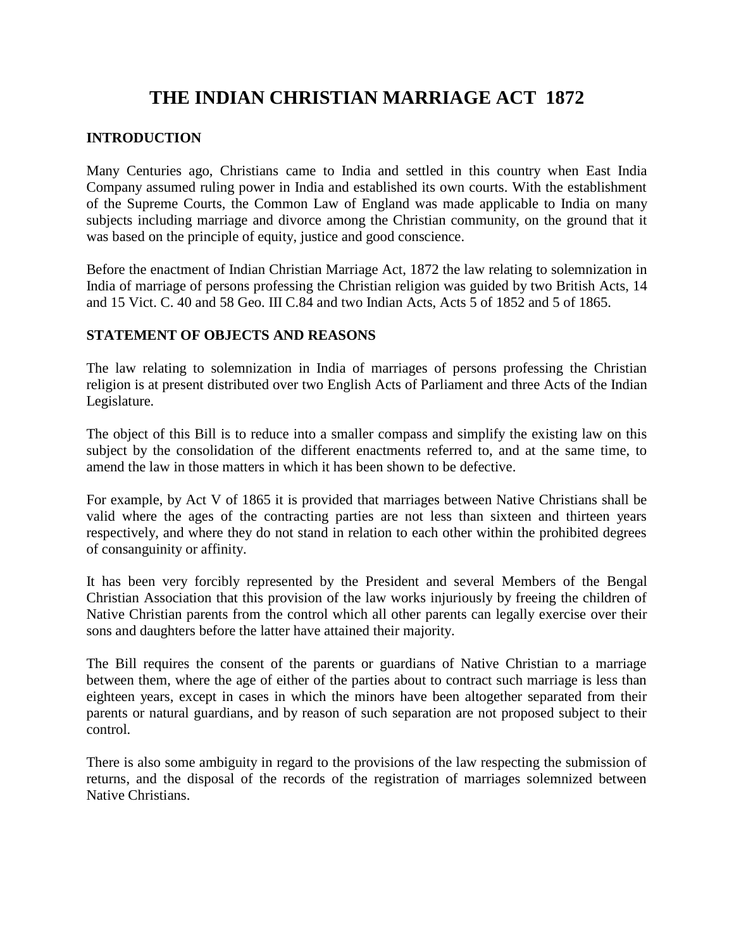# **THE INDIAN CHRISTIAN MARRIAGE ACT 1872**

## **INTRODUCTION**

Many Centuries ago, Christians came to India and settled in this country when East India Company assumed ruling power in India and established its own courts. With the establishment of the Supreme Courts, the Common Law of England was made applicable to India on many subjects including marriage and divorce among the Christian community, on the ground that it was based on the principle of equity, justice and good conscience.

Before the enactment of Indian Christian Marriage Act, 1872 the law relating to solemnization in India of marriage of persons professing the Christian religion was guided by two British Acts, 14 and 15 Vict. C. 40 and 58 Geo. III C.84 and two Indian Acts, Acts 5 of 1852 and 5 of 1865.

## **STATEMENT OF OBJECTS AND REASONS**

The law relating to solemnization in India of marriages of persons professing the Christian religion is at present distributed over two English Acts of Parliament and three Acts of the Indian Legislature.

The object of this Bill is to reduce into a smaller compass and simplify the existing law on this subject by the consolidation of the different enactments referred to, and at the same time, to amend the law in those matters in which it has been shown to be defective.

For example, by Act V of 1865 it is provided that marriages between Native Christians shall be valid where the ages of the contracting parties are not less than sixteen and thirteen years respectively, and where they do not stand in relation to each other within the prohibited degrees of consanguinity or affinity.

It has been very forcibly represented by the President and several Members of the Bengal Christian Association that this provision of the law works injuriously by freeing the children of Native Christian parents from the control which all other parents can legally exercise over their sons and daughters before the latter have attained their majority.

The Bill requires the consent of the parents or guardians of Native Christian to a marriage between them, where the age of either of the parties about to contract such marriage is less than eighteen years, except in cases in which the minors have been altogether separated from their parents or natural guardians, and by reason of such separation are not proposed subject to their control.

There is also some ambiguity in regard to the provisions of the law respecting the submission of returns, and the disposal of the records of the registration of marriages solemnized between Native Christians.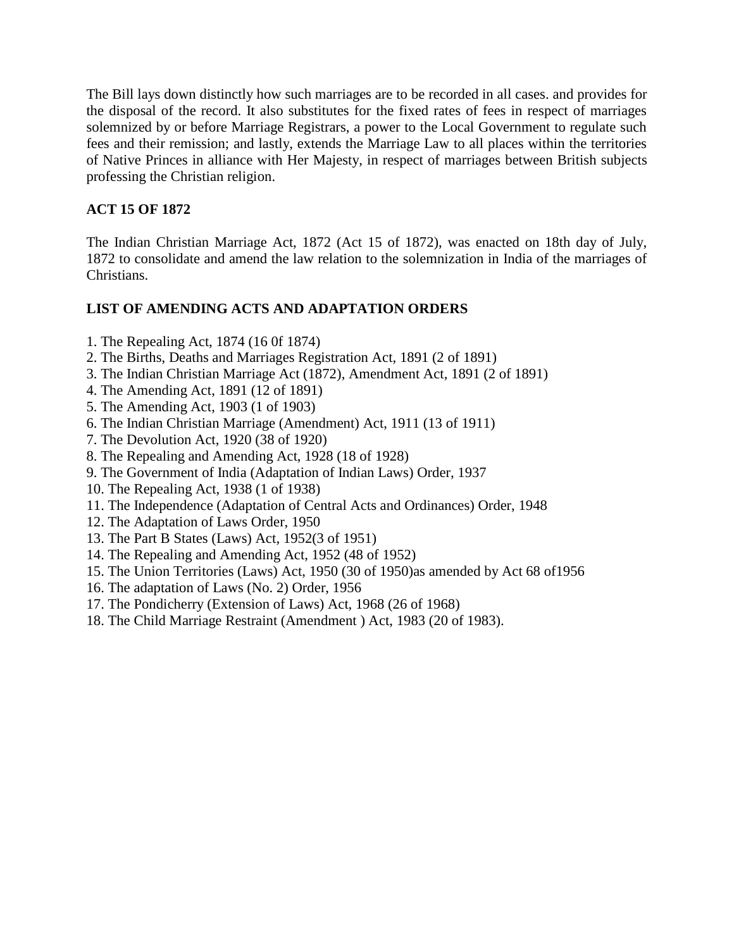The Bill lays down distinctly how such marriages are to be recorded in all cases. and provides for the disposal of the record. It also substitutes for the fixed rates of fees in respect of marriages solemnized by or before Marriage Registrars, a power to the Local Government to regulate such fees and their remission; and lastly, extends the Marriage Law to all places within the territories of Native Princes in alliance with Her Majesty, in respect of marriages between British subjects professing the Christian religion.

## **ACT 15 OF 1872**

The Indian Christian Marriage Act, 1872 (Act 15 of 1872), was enacted on 18th day of July, 1872 to consolidate and amend the law relation to the solemnization in India of the marriages of Christians.

## **LIST OF AMENDING ACTS AND ADAPTATION ORDERS**

- 1. The Repealing Act, 1874 (16 0f 1874)
- 2. The Births, Deaths and Marriages Registration Act, 1891 (2 of 1891)
- 3. The Indian Christian Marriage Act (1872), Amendment Act, 1891 (2 of 1891)
- 4. The Amending Act, 1891 (12 of 1891)
- 5. The Amending Act, 1903 (1 of 1903)
- 6. The Indian Christian Marriage (Amendment) Act, 1911 (13 of 1911)
- 7. The Devolution Act, 1920 (38 of 1920)
- 8. The Repealing and Amending Act, 1928 (18 of 1928)
- 9. The Government of India (Adaptation of Indian Laws) Order, 1937
- 10. The Repealing Act, 1938 (1 of 1938)
- 11. The Independence (Adaptation of Central Acts and Ordinances) Order, 1948
- 12. The Adaptation of Laws Order, 1950
- 13. The Part B States (Laws) Act, 1952(3 of 1951)
- 14. The Repealing and Amending Act, 1952 (48 of 1952)
- 15. The Union Territories (Laws) Act, 1950 (30 of 1950)as amended by Act 68 of1956
- 16. The adaptation of Laws (No. 2) Order, 1956
- 17. The Pondicherry (Extension of Laws) Act, 1968 (26 of 1968)
- 18. The Child Marriage Restraint (Amendment ) Act, 1983 (20 of 1983).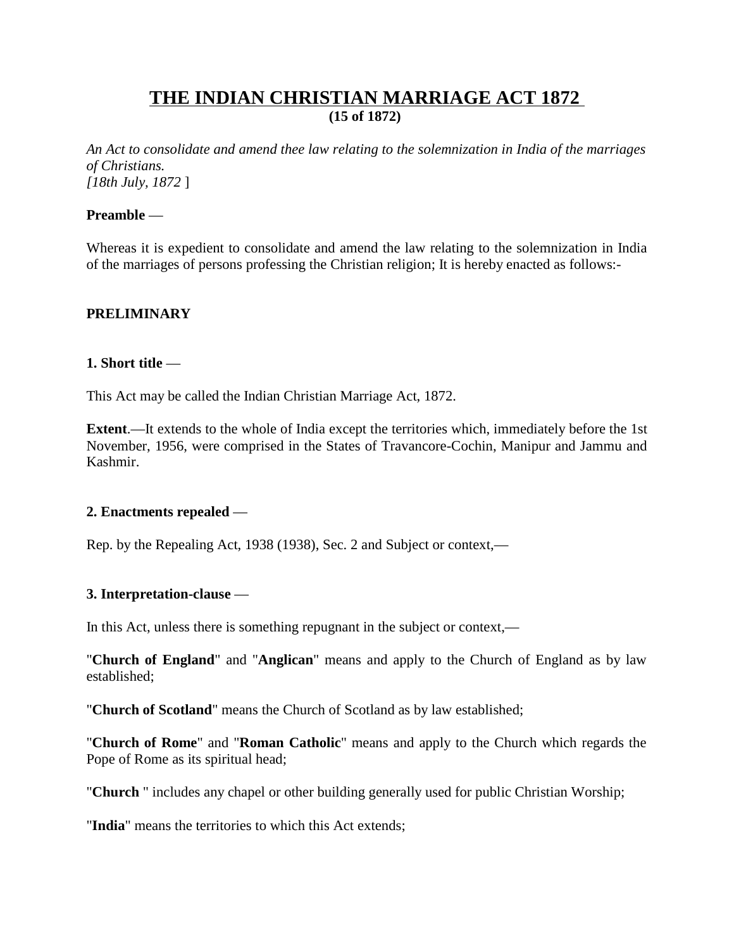# **THE INDIAN CHRISTIAN MARRIAGE ACT 1872 (15 of 1872)**

*An Act to consolidate and amend thee law relating to the solemnization in India of the marriages of Christians. [18th July, 1872* ]

#### **Preamble** —

Whereas it is expedient to consolidate and amend the law relating to the solemnization in India of the marriages of persons professing the Christian religion; It is hereby enacted as follows:-

## **PRELIMINARY**

#### **1. Short title** —

This Act may be called the Indian Christian Marriage Act, 1872.

**Extent**.—It extends to the whole of India except the territories which, immediately before the 1st November, 1956, were comprised in the States of Travancore-Cochin, Manipur and Jammu and Kashmir.

#### **2. Enactments repealed** —

Rep. by the Repealing Act, 1938 (1938), Sec. 2 and Subject or context,—

## **3. Interpretation-clause** —

In this Act, unless there is something repugnant in the subject or context,—

"**Church of England**" and "**Anglican**" means and apply to the Church of England as by law established;

"**Church of Scotland**" means the Church of Scotland as by law established;

"**Church of Rome**" and "**Roman Catholic**" means and apply to the Church which regards the Pope of Rome as its spiritual head;

"**Church** " includes any chapel or other building generally used for public Christian Worship;

"**India**" means the territories to which this Act extends;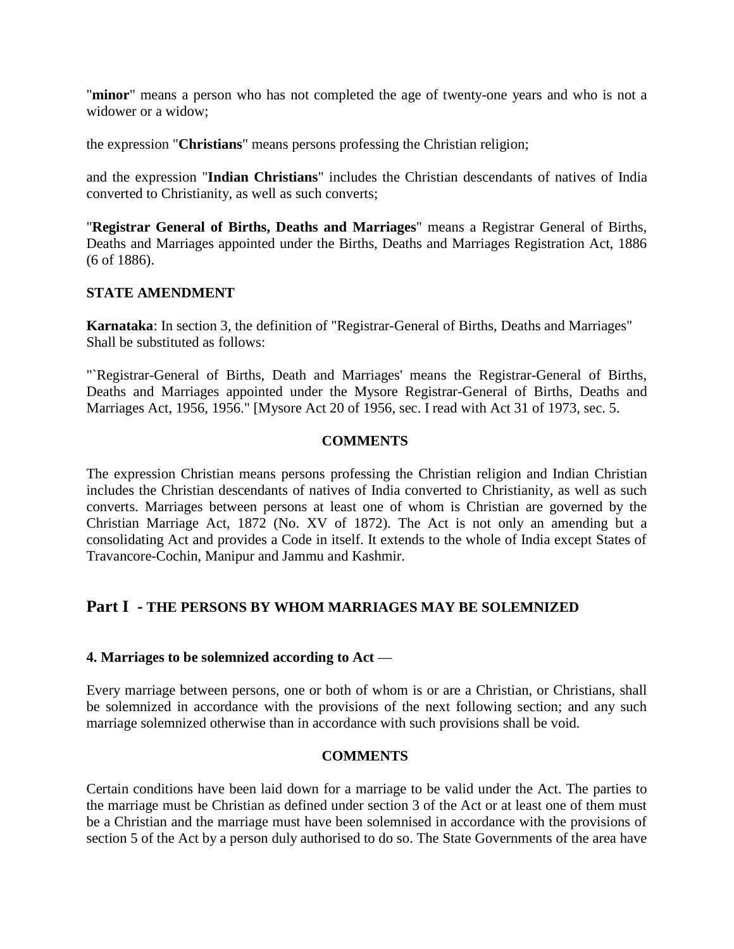"**minor**" means a person who has not completed the age of twenty-one years and who is not a widower or a widow;

the expression "**Christians**" means persons professing the Christian religion;

and the expression "**Indian Christians**" includes the Christian descendants of natives of India converted to Christianity, as well as such converts;

"**Registrar General of Births, Deaths and Marriages**" means a Registrar General of Births, Deaths and Marriages appointed under the Births, Deaths and Marriages Registration Act, 1886 (6 of 1886).

## **STATE AMENDMENT**

**Karnataka**: In section 3, the definition of "Registrar-General of Births, Deaths and Marriages" Shall be substituted as follows:

"`Registrar-General of Births, Death and Marriages' means the Registrar-General of Births, Deaths and Marriages appointed under the Mysore Registrar-General of Births, Deaths and Marriages Act, 1956, 1956." [Mysore Act 20 of 1956, sec. I read with Act 31 of 1973, sec. 5.

## **COMMENTS**

The expression Christian means persons professing the Christian religion and Indian Christian includes the Christian descendants of natives of India converted to Christianity, as well as such converts. Marriages between persons at least one of whom is Christian are governed by the Christian Marriage Act, 1872 (No. XV of 1872). The Act is not only an amending but a consolidating Act and provides a Code in itself. It extends to the whole of India except States of Travancore-Cochin, Manipur and Jammu and Kashmir.

## **Part I - THE PERSONS BY WHOM MARRIAGES MAY BE SOLEMNIZED**

## **4. Marriages to be solemnized according to Act** —

Every marriage between persons, one or both of whom is or are a Christian, or Christians, shall be solemnized in accordance with the provisions of the next following section; and any such marriage solemnized otherwise than in accordance with such provisions shall be void.

## **COMMENTS**

Certain conditions have been laid down for a marriage to be valid under the Act. The parties to the marriage must be Christian as defined under section 3 of the Act or at least one of them must be a Christian and the marriage must have been solemnised in accordance with the provisions of section 5 of the Act by a person duly authorised to do so. The State Governments of the area have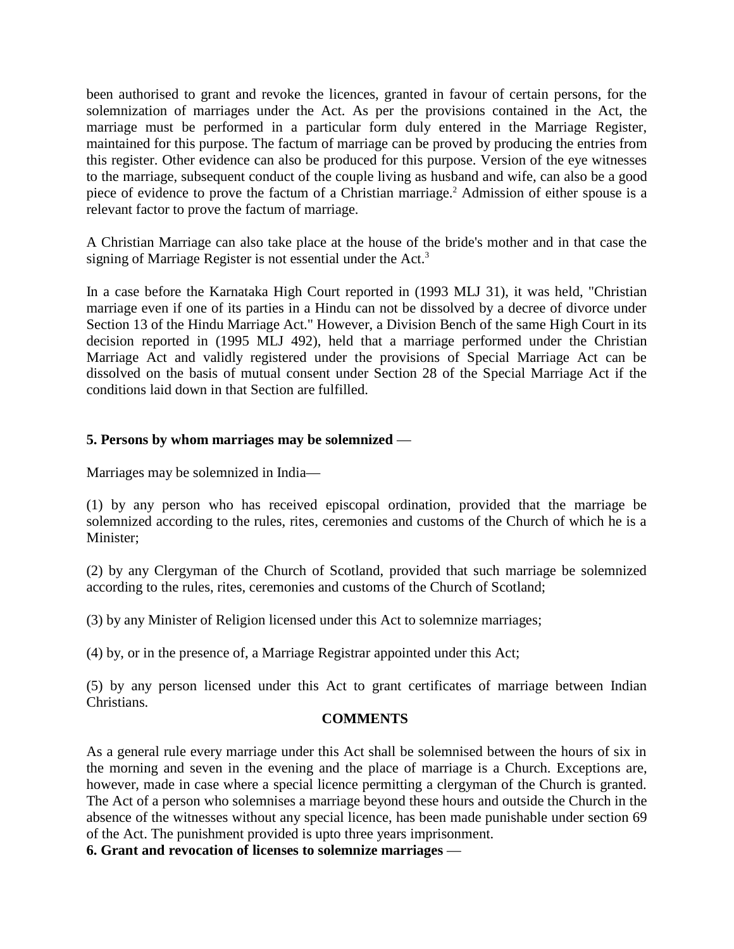been authorised to grant and revoke the licences, granted in favour of certain persons, for the solemnization of marriages under the Act. As per the provisions contained in the Act, the marriage must be performed in a particular form duly entered in the Marriage Register, maintained for this purpose. The factum of marriage can be proved by producing the entries from this register. Other evidence can also be produced for this purpose. Version of the eye witnesses to the marriage, subsequent conduct of the couple living as husband and wife, can also be a good piece of evidence to prove the factum of a Christian marriage.<sup>2</sup> Admission of either spouse is a relevant factor to prove the factum of marriage.

A Christian Marriage can also take place at the house of the bride's mother and in that case the signing of Marriage Register is not essential under the Act.<sup>3</sup>

In a case before the Karnataka High Court reported in (1993 MLJ 31), it was held, "Christian marriage even if one of its parties in a Hindu can not be dissolved by a decree of divorce under Section 13 of the Hindu Marriage Act." However, a Division Bench of the same High Court in its decision reported in (1995 MLJ 492), held that a marriage performed under the Christian Marriage Act and validly registered under the provisions of Special Marriage Act can be dissolved on the basis of mutual consent under Section 28 of the Special Marriage Act if the conditions laid down in that Section are fulfilled.

## **5. Persons by whom marriages may be solemnized** —

Marriages may be solemnized in India—

(1) by any person who has received episcopal ordination, provided that the marriage be solemnized according to the rules, rites, ceremonies and customs of the Church of which he is a Minister;

(2) by any Clergyman of the Church of Scotland, provided that such marriage be solemnized according to the rules, rites, ceremonies and customs of the Church of Scotland;

(3) by any Minister of Religion licensed under this Act to solemnize marriages;

(4) by, or in the presence of, a Marriage Registrar appointed under this Act;

(5) by any person licensed under this Act to grant certificates of marriage between Indian Christians.

## **COMMENTS**

As a general rule every marriage under this Act shall be solemnised between the hours of six in the morning and seven in the evening and the place of marriage is a Church. Exceptions are, however, made in case where a special licence permitting a clergyman of the Church is granted. The Act of a person who solemnises a marriage beyond these hours and outside the Church in the absence of the witnesses without any special licence, has been made punishable under section 69 of the Act. The punishment provided is upto three years imprisonment.

**6. Grant and revocation of licenses to solemnize marriages** —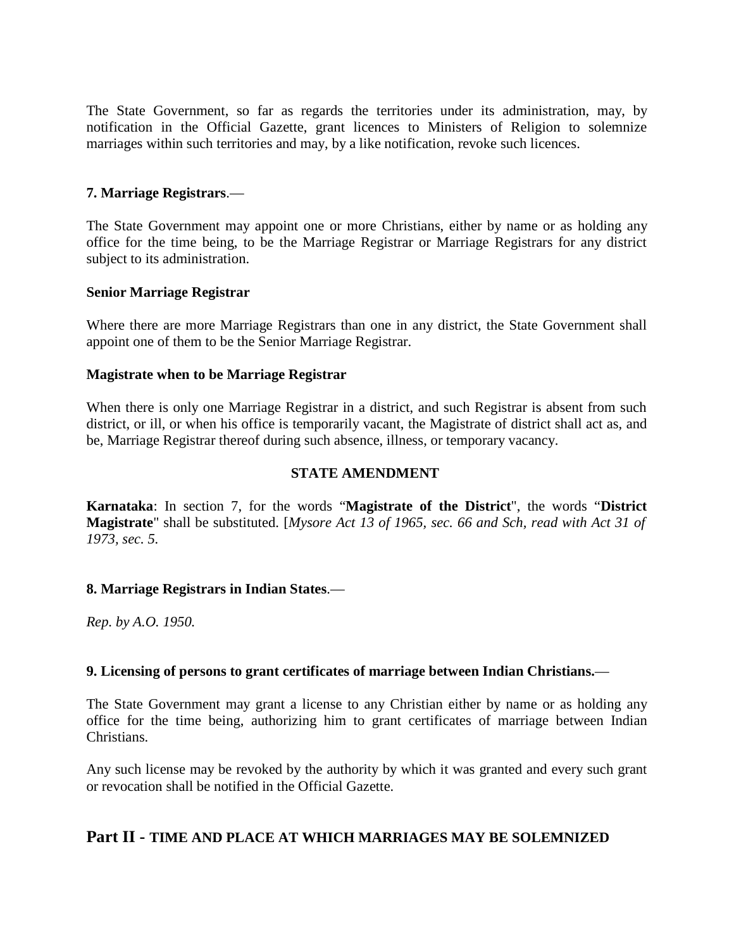The State Government, so far as regards the territories under its administration, may, by notification in the Official Gazette, grant licences to Ministers of Religion to solemnize marriages within such territories and may, by a like notification, revoke such licences.

## **7. Marriage Registrars**.—

The State Government may appoint one or more Christians, either by name or as holding any office for the time being, to be the Marriage Registrar or Marriage Registrars for any district subject to its administration.

#### **Senior Marriage Registrar**

Where there are more Marriage Registrars than one in any district, the State Government shall appoint one of them to be the Senior Marriage Registrar.

#### **Magistrate when to be Marriage Registrar**

When there is only one Marriage Registrar in a district, and such Registrar is absent from such district, or ill, or when his office is temporarily vacant, the Magistrate of district shall act as, and be, Marriage Registrar thereof during such absence, illness, or temporary vacancy.

#### **STATE AMENDMENT**

**Karnataka**: In section 7, for the words "**Magistrate of the District**", the words "**District Magistrate**" shall be substituted. [*Mysore Act 13 of 1965, sec. 66 and Sch, read with Act 31 of 1973, sec. 5.*

## **8. Marriage Registrars in Indian States**.—

*Rep. by A.O. 1950.*

#### **9. Licensing of persons to grant certificates of marriage between Indian Christians.**—

The State Government may grant a license to any Christian either by name or as holding any office for the time being, authorizing him to grant certificates of marriage between Indian Christians.

Any such license may be revoked by the authority by which it was granted and every such grant or revocation shall be notified in the Official Gazette.

## **Part II - TIME AND PLACE AT WHICH MARRIAGES MAY BE SOLEMNIZED**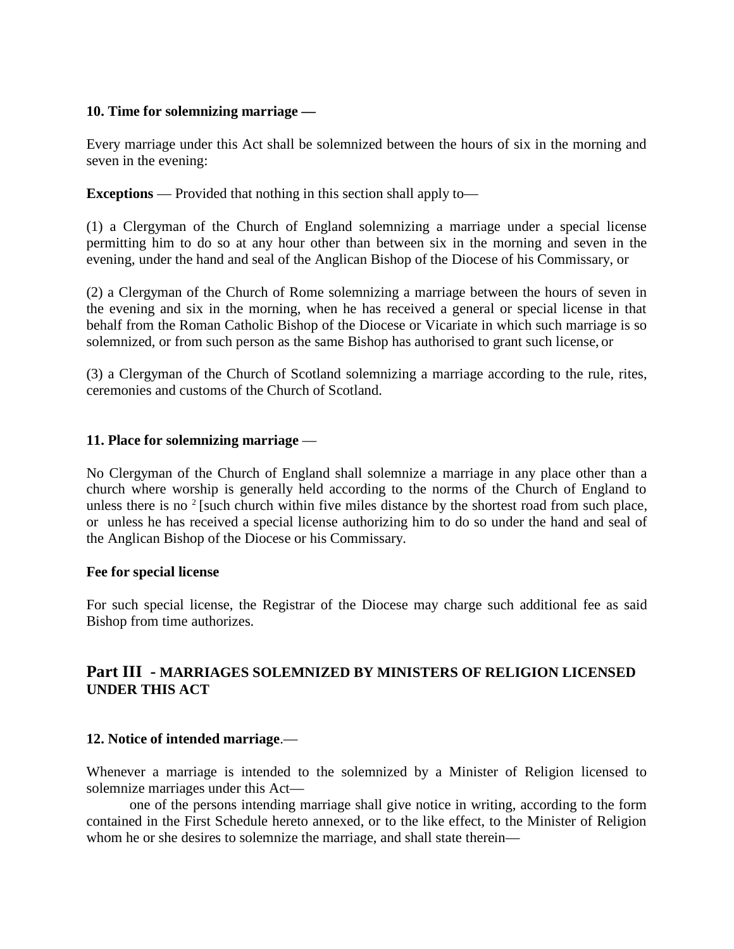## **10. Time for solemnizing marriage —**

Every marriage under this Act shall be solemnized between the hours of six in the morning and seven in the evening:

**Exceptions** — Provided that nothing in this section shall apply to—

(1) a Clergyman of the Church of England solemnizing a marriage under a special license permitting him to do so at any hour other than between six in the morning and seven in the evening, under the hand and seal of the Anglican Bishop of the Diocese of his Commissary, or

(2) a Clergyman of the Church of Rome solemnizing a marriage between the hours of seven in the evening and six in the morning, when he has received a general or special license in that behalf from the Roman Catholic Bishop of the Diocese or Vicariate in which such marriage is so solemnized, or from such person as the same Bishop has authorised to grant such license, or

(3) a Clergyman of the Church of Scotland solemnizing a marriage according to the rule, rites, ceremonies and customs of the Church of Scotland.

## **11. Place for solemnizing marriage** —

No Clergyman of the Church of England shall solemnize a marriage in any place other than a church where worship is generally held according to the norms of the Church of England to unless there is no  $2$  [such church within five miles distance by the shortest road from such place, or unless he has received a special license authorizing him to do so under the hand and seal of the Anglican Bishop of the Diocese or his Commissary.

#### **Fee for special license**

For such special license, the Registrar of the Diocese may charge such additional fee as said Bishop from time authorizes.

## **Part III - MARRIAGES SOLEMNIZED BY MINISTERS OF RELIGION LICENSED UNDER THIS ACT**

## **12. Notice of intended marriage**.—

Whenever a marriage is intended to the solemnized by a Minister of Religion licensed to solemnize marriages under this Act—

one of the persons intending marriage shall give notice in writing, according to the form contained in the First Schedule hereto annexed, or to the like effect, to the Minister of Religion whom he or she desires to solemnize the marriage, and shall state therein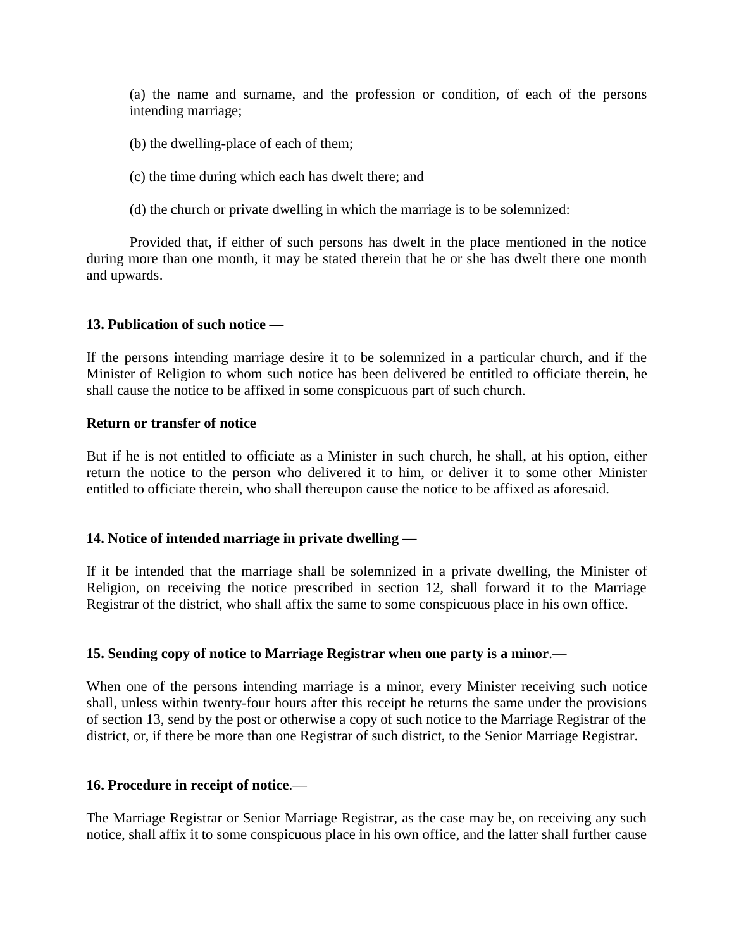(a) the name and surname, and the profession or condition, of each of the persons intending marriage;

(b) the dwelling-place of each of them;

(c) the time during which each has dwelt there; and

(d) the church or private dwelling in which the marriage is to be solemnized:

Provided that, if either of such persons has dwelt in the place mentioned in the notice during more than one month, it may be stated therein that he or she has dwelt there one month and upwards.

## **13. Publication of such notice —**

If the persons intending marriage desire it to be solemnized in a particular church, and if the Minister of Religion to whom such notice has been delivered be entitled to officiate therein, he shall cause the notice to be affixed in some conspicuous part of such church.

#### **Return or transfer of notice**

But if he is not entitled to officiate as a Minister in such church, he shall, at his option, either return the notice to the person who delivered it to him, or deliver it to some other Minister entitled to officiate therein, who shall thereupon cause the notice to be affixed as aforesaid.

## **14. Notice of intended marriage in private dwelling —**

If it be intended that the marriage shall be solemnized in a private dwelling, the Minister of Religion, on receiving the notice prescribed in section 12, shall forward it to the Marriage Registrar of the district, who shall affix the same to some conspicuous place in his own office.

## **15. Sending copy of notice to Marriage Registrar when one party is a minor**.—

When one of the persons intending marriage is a minor, every Minister receiving such notice shall, unless within twenty-four hours after this receipt he returns the same under the provisions of section 13, send by the post or otherwise a copy of such notice to the Marriage Registrar of the district, or, if there be more than one Registrar of such district, to the Senior Marriage Registrar.

## **16. Procedure in receipt of notice**.—

The Marriage Registrar or Senior Marriage Registrar, as the case may be, on receiving any such notice, shall affix it to some conspicuous place in his own office, and the latter shall further cause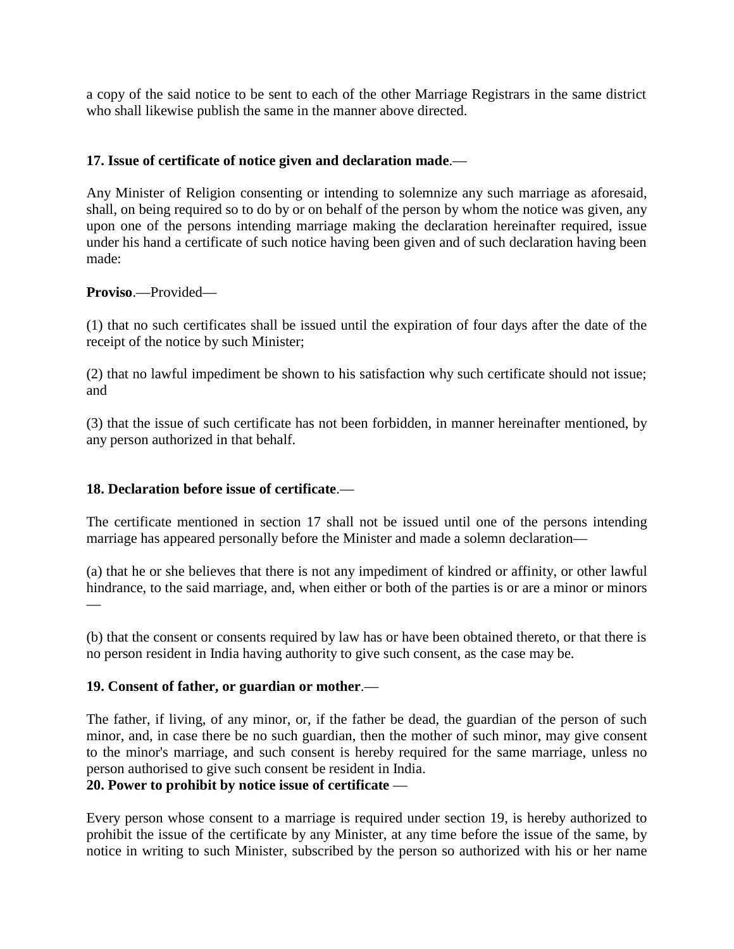a copy of the said notice to be sent to each of the other Marriage Registrars in the same district who shall likewise publish the same in the manner above directed.

## **17. Issue of certificate of notice given and declaration made**.—

Any Minister of Religion consenting or intending to solemnize any such marriage as aforesaid, shall, on being required so to do by or on behalf of the person by whom the notice was given, any upon one of the persons intending marriage making the declaration hereinafter required, issue under his hand a certificate of such notice having been given and of such declaration having been made:

## **Proviso**.—Provided—

(1) that no such certificates shall be issued until the expiration of four days after the date of the receipt of the notice by such Minister;

(2) that no lawful impediment be shown to his satisfaction why such certificate should not issue; and

(3) that the issue of such certificate has not been forbidden, in manner hereinafter mentioned, by any person authorized in that behalf.

## **18. Declaration before issue of certificate**.—

The certificate mentioned in section 17 shall not be issued until one of the persons intending marriage has appeared personally before the Minister and made a solemn declaration—

(a) that he or she believes that there is not any impediment of kindred or affinity, or other lawful hindrance, to the said marriage, and, when either or both of the parties is or are a minor or minors —

(b) that the consent or consents required by law has or have been obtained thereto, or that there is no person resident in India having authority to give such consent, as the case may be.

## **19. Consent of father, or guardian or mother**.—

The father, if living, of any minor, or, if the father be dead, the guardian of the person of such minor, and, in case there be no such guardian, then the mother of such minor, may give consent to the minor's marriage, and such consent is hereby required for the same marriage, unless no person authorised to give such consent be resident in India.

# **20. Power to prohibit by notice issue of certificate** —

Every person whose consent to a marriage is required under section 19, is hereby authorized to prohibit the issue of the certificate by any Minister, at any time before the issue of the same, by notice in writing to such Minister, subscribed by the person so authorized with his or her name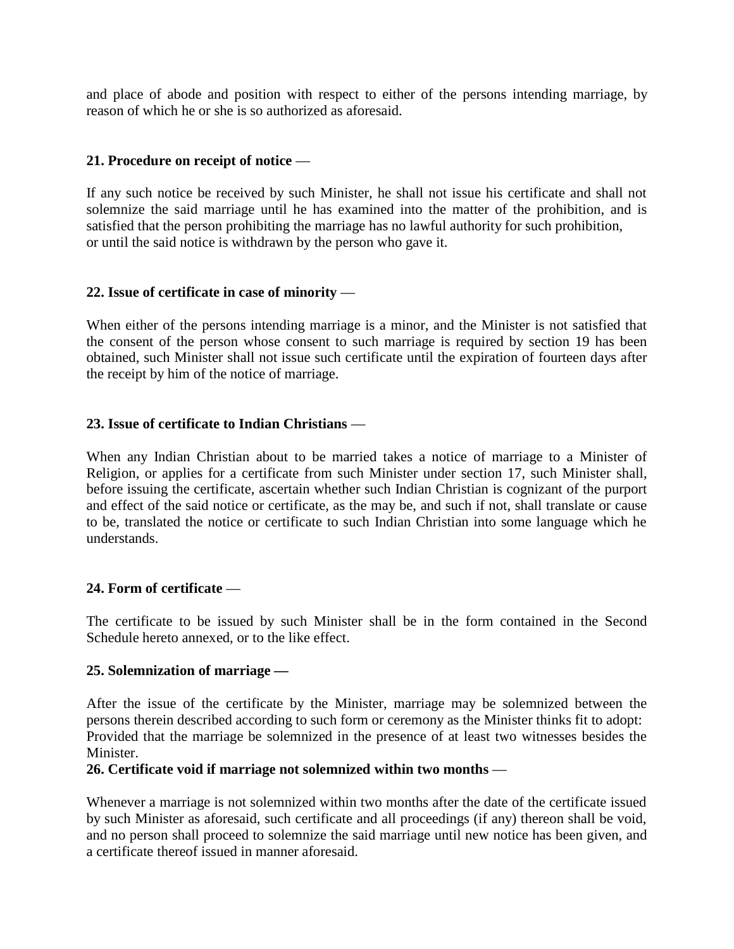and place of abode and position with respect to either of the persons intending marriage, by reason of which he or she is so authorized as aforesaid.

## **21. Procedure on receipt of notice** —

If any such notice be received by such Minister, he shall not issue his certificate and shall not solemnize the said marriage until he has examined into the matter of the prohibition, and is satisfied that the person prohibiting the marriage has no lawful authority for such prohibition, or until the said notice is withdrawn by the person who gave it.

## **22. Issue of certificate in case of minority** —

When either of the persons intending marriage is a minor, and the Minister is not satisfied that the consent of the person whose consent to such marriage is required by section 19 has been obtained, such Minister shall not issue such certificate until the expiration of fourteen days after the receipt by him of the notice of marriage.

## **23. Issue of certificate to Indian Christians** —

When any Indian Christian about to be married takes a notice of marriage to a Minister of Religion, or applies for a certificate from such Minister under section 17, such Minister shall, before issuing the certificate, ascertain whether such Indian Christian is cognizant of the purport and effect of the said notice or certificate, as the may be, and such if not, shall translate or cause to be, translated the notice or certificate to such Indian Christian into some language which he understands.

## **24. Form of certificate** —

The certificate to be issued by such Minister shall be in the form contained in the Second Schedule hereto annexed, or to the like effect.

## **25. Solemnization of marriage —**

After the issue of the certificate by the Minister, marriage may be solemnized between the persons therein described according to such form or ceremony as the Minister thinks fit to adopt: Provided that the marriage be solemnized in the presence of at least two witnesses besides the Minister.

## **26. Certificate void if marriage not solemnized within two months** —

Whenever a marriage is not solemnized within two months after the date of the certificate issued by such Minister as aforesaid, such certificate and all proceedings (if any) thereon shall be void, and no person shall proceed to solemnize the said marriage until new notice has been given, and a certificate thereof issued in manner aforesaid.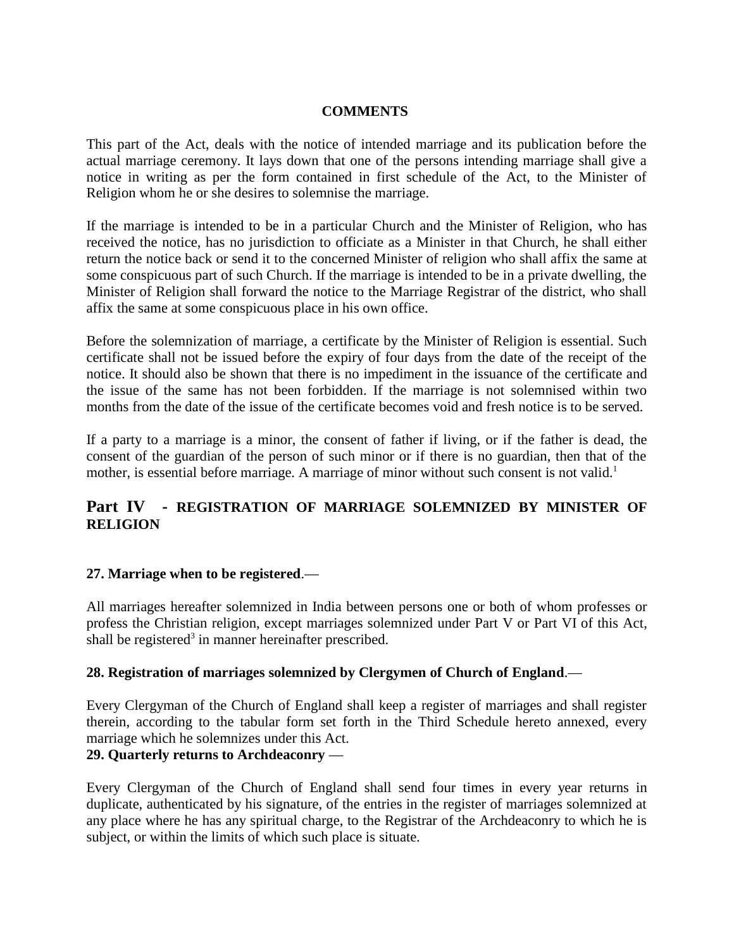## **COMMENTS**

This part of the Act, deals with the notice of intended marriage and its publication before the actual marriage ceremony. It lays down that one of the persons intending marriage shall give a notice in writing as per the form contained in first schedule of the Act, to the Minister of Religion whom he or she desires to solemnise the marriage.

If the marriage is intended to be in a particular Church and the Minister of Religion, who has received the notice, has no jurisdiction to officiate as a Minister in that Church, he shall either return the notice back or send it to the concerned Minister of religion who shall affix the same at some conspicuous part of such Church. If the marriage is intended to be in a private dwelling, the Minister of Religion shall forward the notice to the Marriage Registrar of the district, who shall affix the same at some conspicuous place in his own office.

Before the solemnization of marriage, a certificate by the Minister of Religion is essential. Such certificate shall not be issued before the expiry of four days from the date of the receipt of the notice. It should also be shown that there is no impediment in the issuance of the certificate and the issue of the same has not been forbidden. If the marriage is not solemnised within two months from the date of the issue of the certificate becomes void and fresh notice is to be served.

If a party to a marriage is a minor, the consent of father if living, or if the father is dead, the consent of the guardian of the person of such minor or if there is no guardian, then that of the mother, is essential before marriage. A marriage of minor without such consent is not valid.<sup>1</sup>

# **Part IV - REGISTRATION OF MARRIAGE SOLEMNIZED BY MINISTER OF RELIGION**

## **27. Marriage when to be registered**.—

All marriages hereafter solemnized in India between persons one or both of whom professes or profess the Christian religion, except marriages solemnized under Part V or Part VI of this Act, shall be registered<sup>3</sup> in manner hereinafter prescribed.

## **28. Registration of marriages solemnized by Clergymen of Church of England**.—

Every Clergyman of the Church of England shall keep a register of marriages and shall register therein, according to the tabular form set forth in the Third Schedule hereto annexed, every marriage which he solemnizes under this Act.

# **29. Quarterly returns to Archdeaconry** —

Every Clergyman of the Church of England shall send four times in every year returns in duplicate, authenticated by his signature, of the entries in the register of marriages solemnized at any place where he has any spiritual charge, to the Registrar of the Archdeaconry to which he is subject, or within the limits of which such place is situate.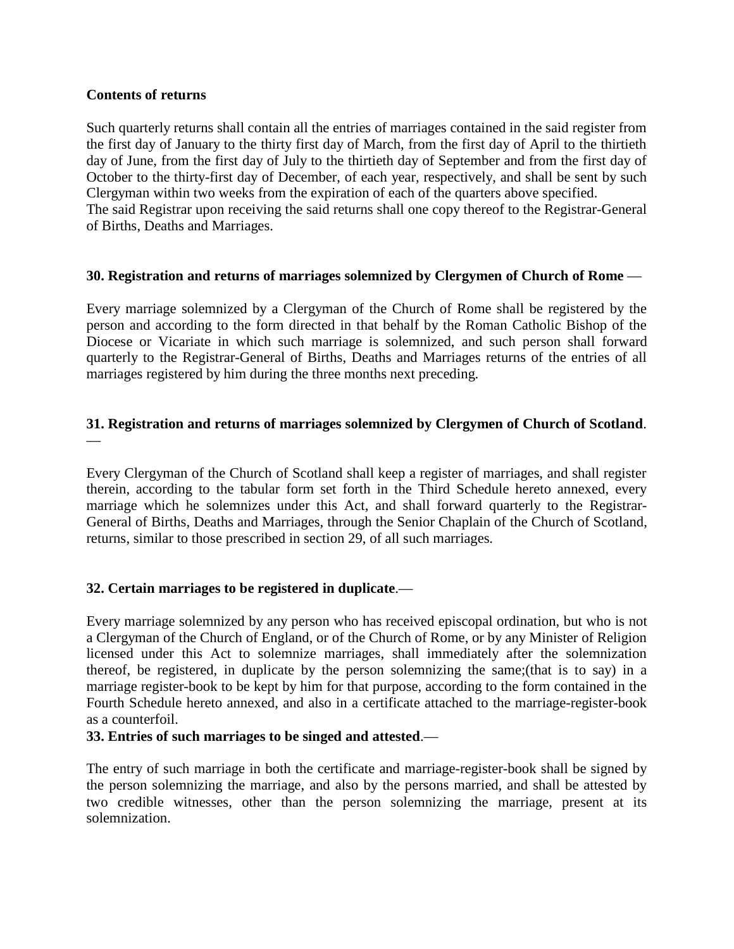## **Contents of returns**

Such quarterly returns shall contain all the entries of marriages contained in the said register from the first day of January to the thirty first day of March, from the first day of April to the thirtieth day of June, from the first day of July to the thirtieth day of September and from the first day of October to the thirty-first day of December, of each year, respectively, and shall be sent by such Clergyman within two weeks from the expiration of each of the quarters above specified. The said Registrar upon receiving the said returns shall one copy thereof to the Registrar-General of Births, Deaths and Marriages.

## **30. Registration and returns of marriages solemnized by Clergymen of Church of Rome** —

Every marriage solemnized by a Clergyman of the Church of Rome shall be registered by the person and according to the form directed in that behalf by the Roman Catholic Bishop of the Diocese or Vicariate in which such marriage is solemnized, and such person shall forward quarterly to the Registrar-General of Births, Deaths and Marriages returns of the entries of all marriages registered by him during the three months next preceding.

## **31. Registration and returns of marriages solemnized by Clergymen of Church of Scotland**. —

Every Clergyman of the Church of Scotland shall keep a register of marriages, and shall register therein, according to the tabular form set forth in the Third Schedule hereto annexed, every marriage which he solemnizes under this Act, and shall forward quarterly to the Registrar-General of Births, Deaths and Marriages, through the Senior Chaplain of the Church of Scotland, returns, similar to those prescribed in section 29, of all such marriages.

## **32. Certain marriages to be registered in duplicate**.—

Every marriage solemnized by any person who has received episcopal ordination, but who is not a Clergyman of the Church of England, or of the Church of Rome, or by any Minister of Religion licensed under this Act to solemnize marriages, shall immediately after the solemnization thereof, be registered, in duplicate by the person solemnizing the same;(that is to say) in a marriage register-book to be kept by him for that purpose, according to the form contained in the Fourth Schedule hereto annexed, and also in a certificate attached to the marriage-register-book as a counterfoil.

## **33. Entries of such marriages to be singed and attested**.—

The entry of such marriage in both the certificate and marriage-register-book shall be signed by the person solemnizing the marriage, and also by the persons married, and shall be attested by two credible witnesses, other than the person solemnizing the marriage, present at its solemnization.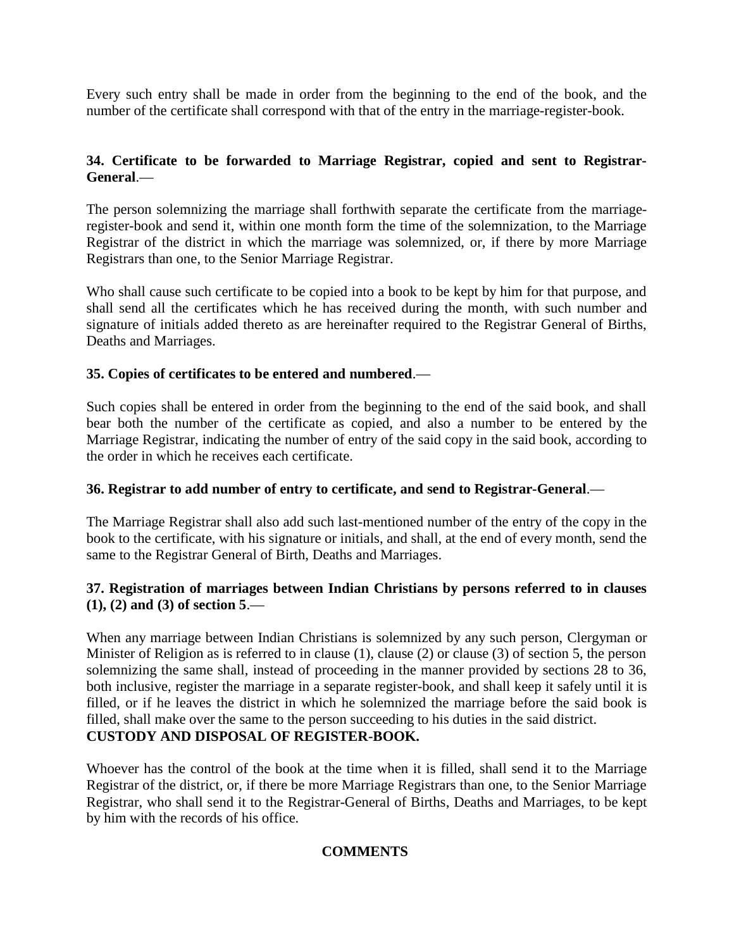Every such entry shall be made in order from the beginning to the end of the book, and the number of the certificate shall correspond with that of the entry in the marriage-register-book.

## **34. Certificate to be forwarded to Marriage Registrar, copied and sent to Registrar-General**.—

The person solemnizing the marriage shall forthwith separate the certificate from the marriageregister-book and send it, within one month form the time of the solemnization, to the Marriage Registrar of the district in which the marriage was solemnized, or, if there by more Marriage Registrars than one, to the Senior Marriage Registrar.

Who shall cause such certificate to be copied into a book to be kept by him for that purpose, and shall send all the certificates which he has received during the month, with such number and signature of initials added thereto as are hereinafter required to the Registrar General of Births, Deaths and Marriages.

## **35. Copies of certificates to be entered and numbered**.—

Such copies shall be entered in order from the beginning to the end of the said book, and shall bear both the number of the certificate as copied, and also a number to be entered by the Marriage Registrar, indicating the number of entry of the said copy in the said book, according to the order in which he receives each certificate.

## **36. Registrar to add number of entry to certificate, and send to Registrar-General**.—

The Marriage Registrar shall also add such last-mentioned number of the entry of the copy in the book to the certificate, with his signature or initials, and shall, at the end of every month, send the same to the Registrar General of Birth, Deaths and Marriages.

## **37. Registration of marriages between Indian Christians by persons referred to in clauses (1), (2) and (3) of section 5**.—

When any marriage between Indian Christians is solemnized by any such person, Clergyman or Minister of Religion as is referred to in clause (1), clause (2) or clause (3) of section 5, the person solemnizing the same shall, instead of proceeding in the manner provided by sections 28 to 36, both inclusive, register the marriage in a separate register-book, and shall keep it safely until it is filled, or if he leaves the district in which he solemnized the marriage before the said book is filled, shall make over the same to the person succeeding to his duties in the said district. **CUSTODY AND DISPOSAL OF REGISTER-BOOK.**

Whoever has the control of the book at the time when it is filled, shall send it to the Marriage Registrar of the district, or, if there be more Marriage Registrars than one, to the Senior Marriage Registrar, who shall send it to the Registrar-General of Births, Deaths and Marriages, to be kept by him with the records of his office.

## **COMMENTS**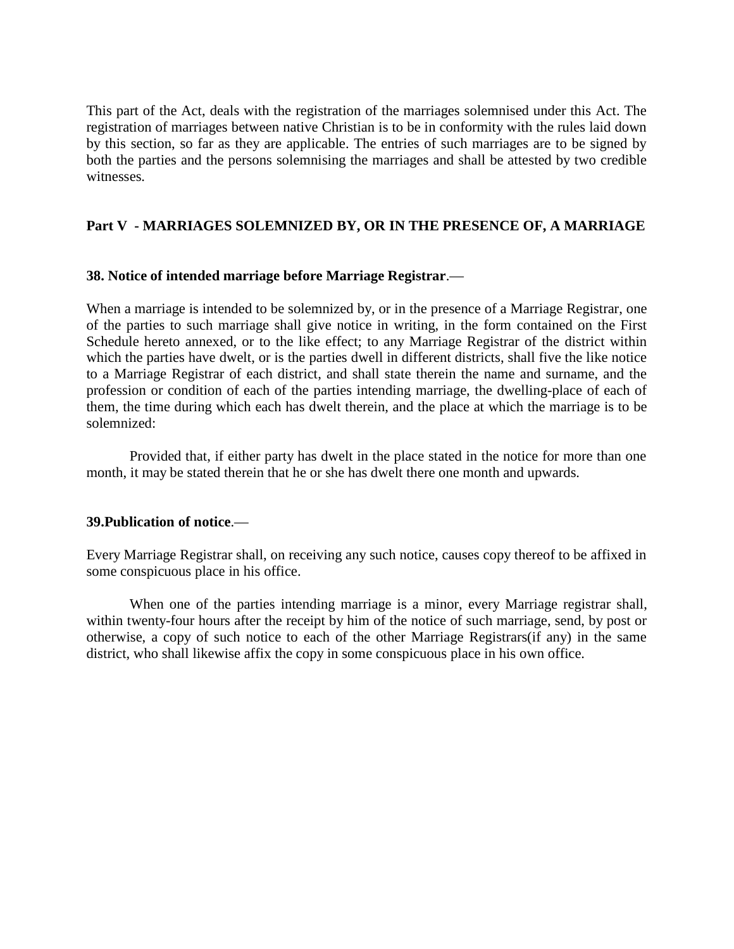This part of the Act, deals with the registration of the marriages solemnised under this Act. The registration of marriages between native Christian is to be in conformity with the rules laid down by this section, so far as they are applicable. The entries of such marriages are to be signed by both the parties and the persons solemnising the marriages and shall be attested by two credible witnesses.

## **Part V - MARRIAGES SOLEMNIZED BY, OR IN THE PRESENCE OF, A MARRIAGE**

#### **38. Notice of intended marriage before Marriage Registrar**.—

When a marriage is intended to be solemnized by, or in the presence of a Marriage Registrar, one of the parties to such marriage shall give notice in writing, in the form contained on the First Schedule hereto annexed, or to the like effect; to any Marriage Registrar of the district within which the parties have dwelt, or is the parties dwell in different districts, shall five the like notice to a Marriage Registrar of each district, and shall state therein the name and surname, and the profession or condition of each of the parties intending marriage, the dwelling-place of each of them, the time during which each has dwelt therein, and the place at which the marriage is to be solemnized:

Provided that, if either party has dwelt in the place stated in the notice for more than one month, it may be stated therein that he or she has dwelt there one month and upwards.

## **39.Publication of notice**.—

Every Marriage Registrar shall, on receiving any such notice, causes copy thereof to be affixed in some conspicuous place in his office.

When one of the parties intending marriage is a minor, every Marriage registrar shall, within twenty-four hours after the receipt by him of the notice of such marriage, send, by post or otherwise, a copy of such notice to each of the other Marriage Registrars(if any) in the same district, who shall likewise affix the copy in some conspicuous place in his own office.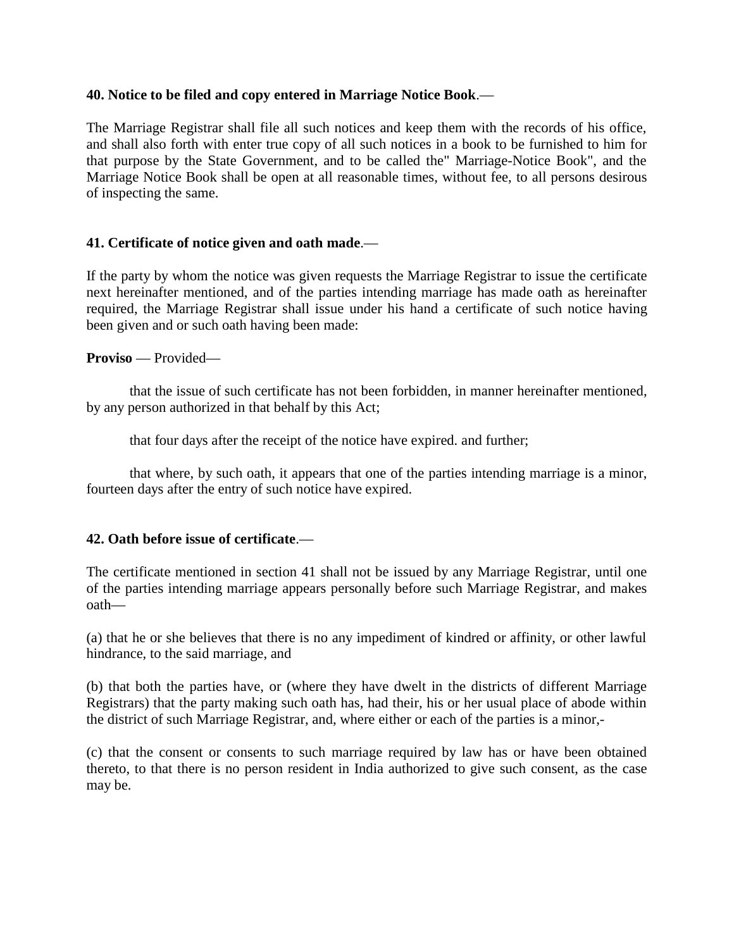## **40. Notice to be filed and copy entered in Marriage Notice Book**.—

The Marriage Registrar shall file all such notices and keep them with the records of his office, and shall also forth with enter true copy of all such notices in a book to be furnished to him for that purpose by the State Government, and to be called the" Marriage-Notice Book", and the Marriage Notice Book shall be open at all reasonable times, without fee, to all persons desirous of inspecting the same.

## **41. Certificate of notice given and oath made**.—

If the party by whom the notice was given requests the Marriage Registrar to issue the certificate next hereinafter mentioned, and of the parties intending marriage has made oath as hereinafter required, the Marriage Registrar shall issue under his hand a certificate of such notice having been given and or such oath having been made:

#### **Proviso** — Provided—

that the issue of such certificate has not been forbidden, in manner hereinafter mentioned, by any person authorized in that behalf by this Act;

that four days after the receipt of the notice have expired. and further;

that where, by such oath, it appears that one of the parties intending marriage is a minor, fourteen days after the entry of such notice have expired.

## **42. Oath before issue of certificate**.—

The certificate mentioned in section 41 shall not be issued by any Marriage Registrar, until one of the parties intending marriage appears personally before such Marriage Registrar, and makes oath—

(a) that he or she believes that there is no any impediment of kindred or affinity, or other lawful hindrance, to the said marriage, and

(b) that both the parties have, or (where they have dwelt in the districts of different Marriage Registrars) that the party making such oath has, had their, his or her usual place of abode within the district of such Marriage Registrar, and, where either or each of the parties is a minor,-

(c) that the consent or consents to such marriage required by law has or have been obtained thereto, to that there is no person resident in India authorized to give such consent, as the case may be.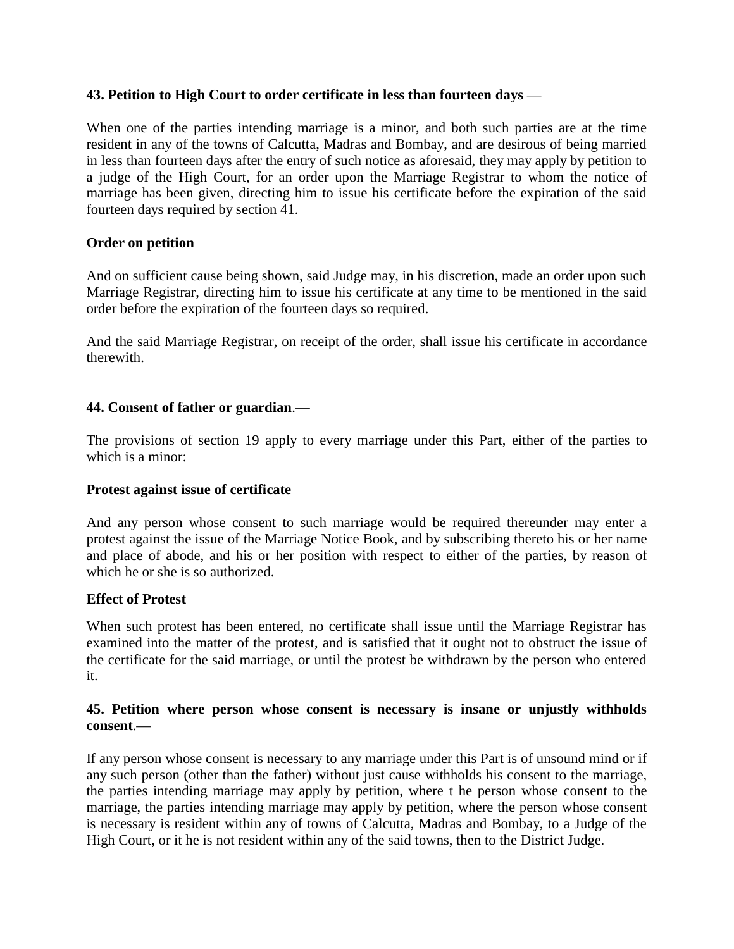## **43. Petition to High Court to order certificate in less than fourteen days** —

When one of the parties intending marriage is a minor, and both such parties are at the time resident in any of the towns of Calcutta, Madras and Bombay, and are desirous of being married in less than fourteen days after the entry of such notice as aforesaid, they may apply by petition to a judge of the High Court, for an order upon the Marriage Registrar to whom the notice of marriage has been given, directing him to issue his certificate before the expiration of the said fourteen days required by section 41.

## **Order on petition**

And on sufficient cause being shown, said Judge may, in his discretion, made an order upon such Marriage Registrar, directing him to issue his certificate at any time to be mentioned in the said order before the expiration of the fourteen days so required.

And the said Marriage Registrar, on receipt of the order, shall issue his certificate in accordance therewith.

## **44. Consent of father or guardian**.—

The provisions of section 19 apply to every marriage under this Part, either of the parties to which is a minor:

## **Protest against issue of certificate**

And any person whose consent to such marriage would be required thereunder may enter a protest against the issue of the Marriage Notice Book, and by subscribing thereto his or her name and place of abode, and his or her position with respect to either of the parties, by reason of which he or she is so authorized.

## **Effect of Protest**

When such protest has been entered, no certificate shall issue until the Marriage Registrar has examined into the matter of the protest, and is satisfied that it ought not to obstruct the issue of the certificate for the said marriage, or until the protest be withdrawn by the person who entered it.

## **45. Petition where person whose consent is necessary is insane or unjustly withholds consent**.—

If any person whose consent is necessary to any marriage under this Part is of unsound mind or if any such person (other than the father) without just cause withholds his consent to the marriage, the parties intending marriage may apply by petition, where t he person whose consent to the marriage, the parties intending marriage may apply by petition, where the person whose consent is necessary is resident within any of towns of Calcutta, Madras and Bombay, to a Judge of the High Court, or it he is not resident within any of the said towns, then to the District Judge.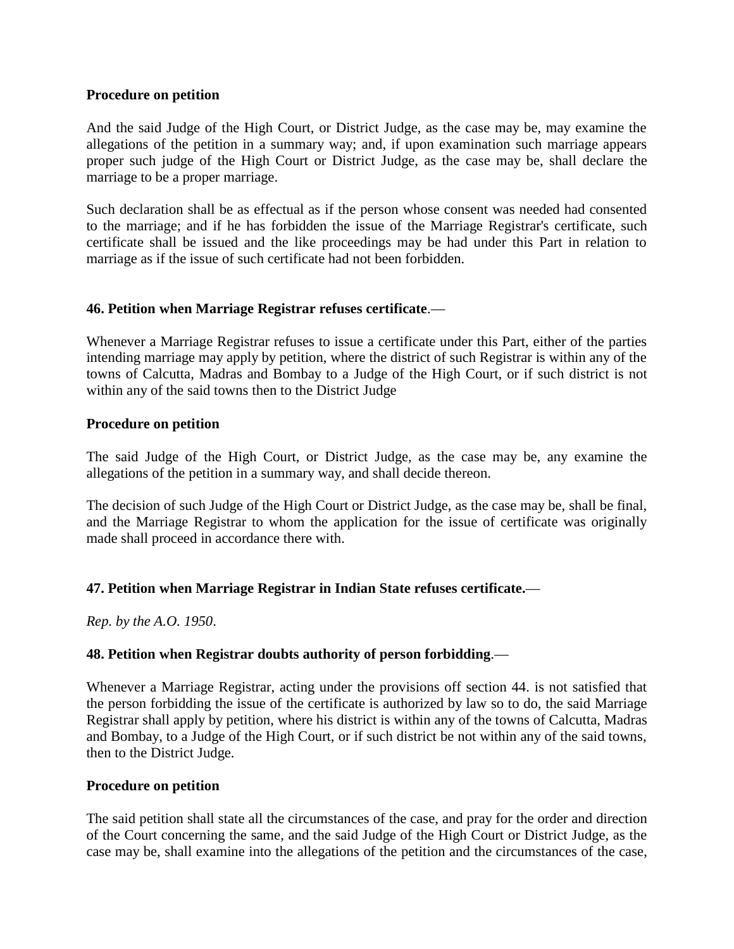#### **Procedure on petition**

And the said Judge of the High Court, or District Judge, as the case may be, may examine the allegations of the petition in a summary way; and, if upon examination such marriage appears proper such judge of the High Court or District Judge, as the case may be, shall declare the marriage to be a proper marriage.

Such declaration shall be as effectual as if the person whose consent was needed had consented to the marriage; and if he has forbidden the issue of the Marriage Registrar's certificate, such certificate shall be issued and the like proceedings may be had under this Part in relation to marriage as if the issue of such certificate had not been forbidden.

## **46. Petition when Marriage Registrar refuses certificate**.—

Whenever a Marriage Registrar refuses to issue a certificate under this Part, either of the parties intending marriage may apply by petition, where the district of such Registrar is within any of the towns of Calcutta, Madras and Bombay to a Judge of the High Court, or if such district is not within any of the said towns then to the District Judge

#### **Procedure on petition**

The said Judge of the High Court, or District Judge, as the case may be, any examine the allegations of the petition in a summary way, and shall decide thereon.

The decision of such Judge of the High Court or District Judge, as the case may be, shall be final, and the Marriage Registrar to whom the application for the issue of certificate was originally made shall proceed in accordance there with.

## **47. Petition when Marriage Registrar in Indian State refuses certificate.**—

*Rep. by the A.O. 1950*.

## **48. Petition when Registrar doubts authority of person forbidding**.—

Whenever a Marriage Registrar, acting under the provisions off section 44. is not satisfied that the person forbidding the issue of the certificate is authorized by law so to do, the said Marriage Registrar shall apply by petition, where his district is within any of the towns of Calcutta, Madras and Bombay, to a Judge of the High Court, or if such district be not within any of the said towns, then to the District Judge.

#### **Procedure on petition**

The said petition shall state all the circumstances of the case, and pray for the order and direction of the Court concerning the same, and the said Judge of the High Court or District Judge, as the case may be, shall examine into the allegations of the petition and the circumstances of the case,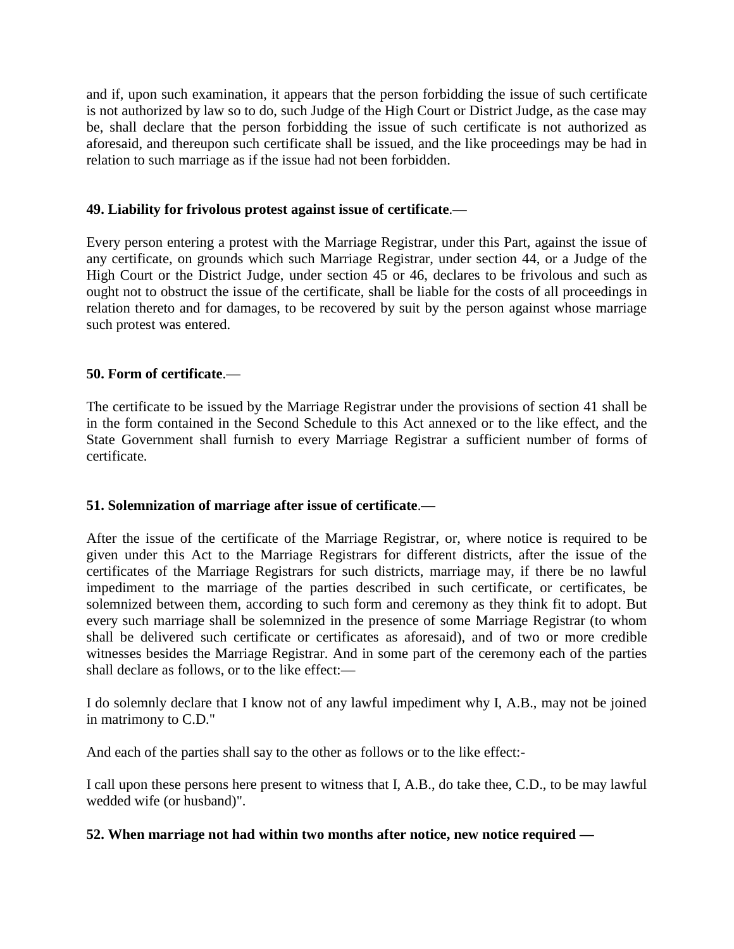and if, upon such examination, it appears that the person forbidding the issue of such certificate is not authorized by law so to do, such Judge of the High Court or District Judge, as the case may be, shall declare that the person forbidding the issue of such certificate is not authorized as aforesaid, and thereupon such certificate shall be issued, and the like proceedings may be had in relation to such marriage as if the issue had not been forbidden.

## **49. Liability for frivolous protest against issue of certificate**.—

Every person entering a protest with the Marriage Registrar, under this Part, against the issue of any certificate, on grounds which such Marriage Registrar, under section 44, or a Judge of the High Court or the District Judge, under section 45 or 46, declares to be frivolous and such as ought not to obstruct the issue of the certificate, shall be liable for the costs of all proceedings in relation thereto and for damages, to be recovered by suit by the person against whose marriage such protest was entered.

## **50. Form of certificate**.—

The certificate to be issued by the Marriage Registrar under the provisions of section 41 shall be in the form contained in the Second Schedule to this Act annexed or to the like effect, and the State Government shall furnish to every Marriage Registrar a sufficient number of forms of certificate.

## **51. Solemnization of marriage after issue of certificate**.—

After the issue of the certificate of the Marriage Registrar, or, where notice is required to be given under this Act to the Marriage Registrars for different districts, after the issue of the certificates of the Marriage Registrars for such districts, marriage may, if there be no lawful impediment to the marriage of the parties described in such certificate, or certificates, be solemnized between them, according to such form and ceremony as they think fit to adopt. But every such marriage shall be solemnized in the presence of some Marriage Registrar (to whom shall be delivered such certificate or certificates as aforesaid), and of two or more credible witnesses besides the Marriage Registrar. And in some part of the ceremony each of the parties shall declare as follows, or to the like effect:—

I do solemnly declare that I know not of any lawful impediment why I, A.B., may not be joined in matrimony to C.D."

And each of the parties shall say to the other as follows or to the like effect:-

I call upon these persons here present to witness that I, A.B., do take thee, C.D., to be may lawful wedded wife (or husband)".

## **52. When marriage not had within two months after notice, new notice required —**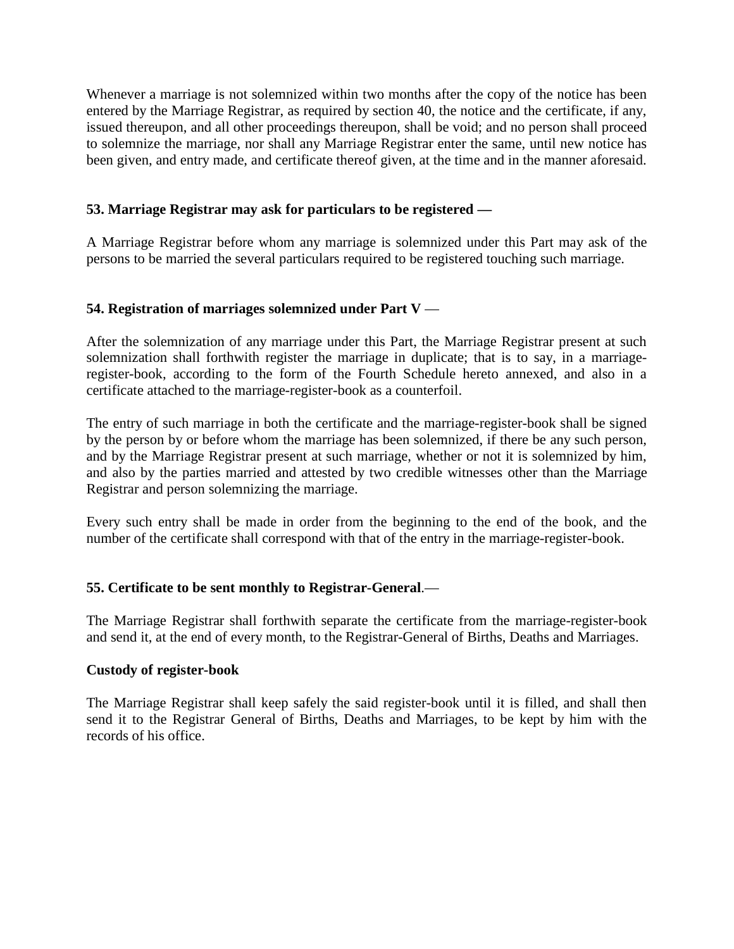Whenever a marriage is not solemnized within two months after the copy of the notice has been entered by the Marriage Registrar, as required by section 40, the notice and the certificate, if any, issued thereupon, and all other proceedings thereupon, shall be void; and no person shall proceed to solemnize the marriage, nor shall any Marriage Registrar enter the same, until new notice has been given, and entry made, and certificate thereof given, at the time and in the manner aforesaid.

## **53. Marriage Registrar may ask for particulars to be registered —**

A Marriage Registrar before whom any marriage is solemnized under this Part may ask of the persons to be married the several particulars required to be registered touching such marriage.

## **54. Registration of marriages solemnized under Part V** —

After the solemnization of any marriage under this Part, the Marriage Registrar present at such solemnization shall forthwith register the marriage in duplicate; that is to say, in a marriageregister-book, according to the form of the Fourth Schedule hereto annexed, and also in a certificate attached to the marriage-register-book as a counterfoil.

The entry of such marriage in both the certificate and the marriage-register-book shall be signed by the person by or before whom the marriage has been solemnized, if there be any such person, and by the Marriage Registrar present at such marriage, whether or not it is solemnized by him, and also by the parties married and attested by two credible witnesses other than the Marriage Registrar and person solemnizing the marriage.

Every such entry shall be made in order from the beginning to the end of the book, and the number of the certificate shall correspond with that of the entry in the marriage-register-book.

## **55. Certificate to be sent monthly to Registrar-General**.—

The Marriage Registrar shall forthwith separate the certificate from the marriage-register-book and send it, at the end of every month, to the Registrar-General of Births, Deaths and Marriages.

## **Custody of register-book**

The Marriage Registrar shall keep safely the said register-book until it is filled, and shall then send it to the Registrar General of Births, Deaths and Marriages, to be kept by him with the records of his office.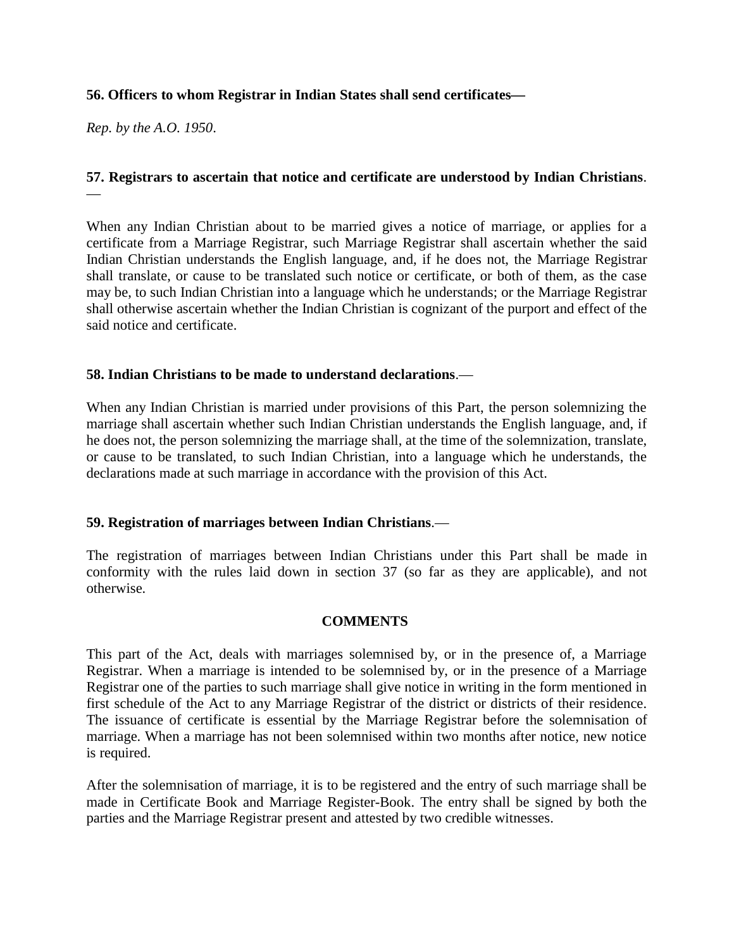## **56. Officers to whom Registrar in Indian States shall send certificates—**

*Rep. by the A.O. 1950*.

## **57. Registrars to ascertain that notice and certificate are understood by Indian Christians**. —

When any Indian Christian about to be married gives a notice of marriage, or applies for a certificate from a Marriage Registrar, such Marriage Registrar shall ascertain whether the said Indian Christian understands the English language, and, if he does not, the Marriage Registrar shall translate, or cause to be translated such notice or certificate, or both of them, as the case may be, to such Indian Christian into a language which he understands; or the Marriage Registrar shall otherwise ascertain whether the Indian Christian is cognizant of the purport and effect of the said notice and certificate.

## **58. Indian Christians to be made to understand declarations**.—

When any Indian Christian is married under provisions of this Part, the person solemnizing the marriage shall ascertain whether such Indian Christian understands the English language, and, if he does not, the person solemnizing the marriage shall, at the time of the solemnization, translate, or cause to be translated, to such Indian Christian, into a language which he understands, the declarations made at such marriage in accordance with the provision of this Act.

## **59. Registration of marriages between Indian Christians**.—

The registration of marriages between Indian Christians under this Part shall be made in conformity with the rules laid down in section 37 (so far as they are applicable), and not otherwise.

## **COMMENTS**

This part of the Act, deals with marriages solemnised by, or in the presence of, a Marriage Registrar. When a marriage is intended to be solemnised by, or in the presence of a Marriage Registrar one of the parties to such marriage shall give notice in writing in the form mentioned in first schedule of the Act to any Marriage Registrar of the district or districts of their residence. The issuance of certificate is essential by the Marriage Registrar before the solemnisation of marriage. When a marriage has not been solemnised within two months after notice, new notice is required.

After the solemnisation of marriage, it is to be registered and the entry of such marriage shall be made in Certificate Book and Marriage Register-Book. The entry shall be signed by both the parties and the Marriage Registrar present and attested by two credible witnesses.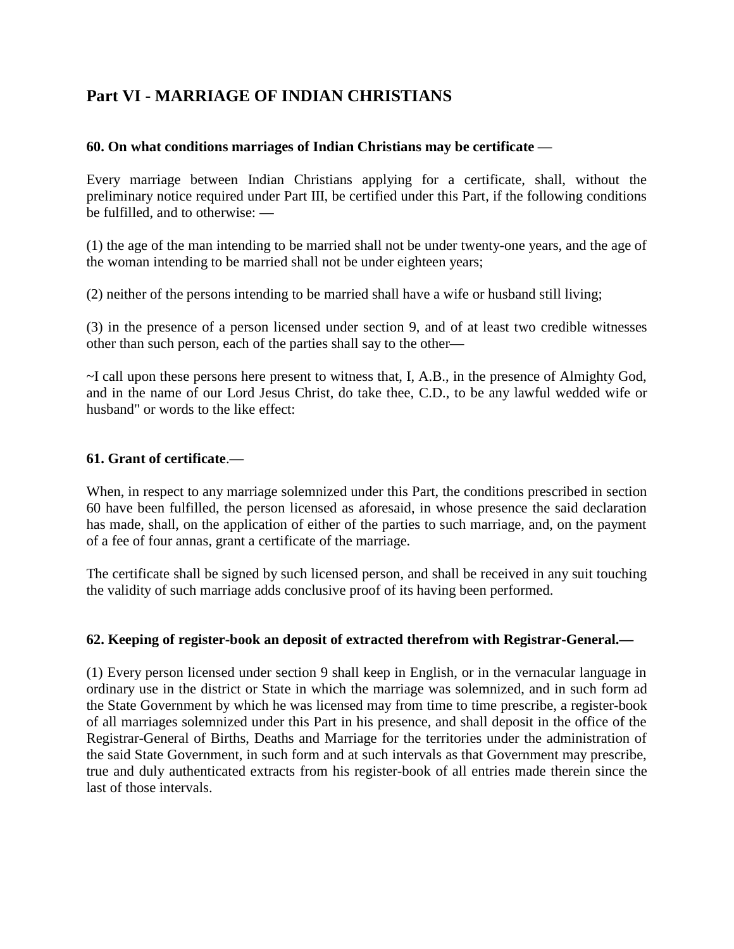# **Part VI - MARRIAGE OF INDIAN CHRISTIANS**

## **60. On what conditions marriages of Indian Christians may be certificate** —

Every marriage between Indian Christians applying for a certificate, shall, without the preliminary notice required under Part III, be certified under this Part, if the following conditions be fulfilled, and to otherwise: —

(1) the age of the man intending to be married shall not be under twenty-one years, and the age of the woman intending to be married shall not be under eighteen years;

(2) neither of the persons intending to be married shall have a wife or husband still living;

(3) in the presence of a person licensed under section 9, and of at least two credible witnesses other than such person, each of the parties shall say to the other—

~I call upon these persons here present to witness that, I, A.B., in the presence of Almighty God, and in the name of our Lord Jesus Christ, do take thee, C.D., to be any lawful wedded wife or husband" or words to the like effect:

## **61. Grant of certificate**.—

When, in respect to any marriage solemnized under this Part, the conditions prescribed in section 60 have been fulfilled, the person licensed as aforesaid, in whose presence the said declaration has made, shall, on the application of either of the parties to such marriage, and, on the payment of a fee of four annas, grant a certificate of the marriage.

The certificate shall be signed by such licensed person, and shall be received in any suit touching the validity of such marriage adds conclusive proof of its having been performed.

## **62. Keeping of register-book an deposit of extracted therefrom with Registrar-General.—**

(1) Every person licensed under section 9 shall keep in English, or in the vernacular language in ordinary use in the district or State in which the marriage was solemnized, and in such form ad the State Government by which he was licensed may from time to time prescribe, a register-book of all marriages solemnized under this Part in his presence, and shall deposit in the office of the Registrar-General of Births, Deaths and Marriage for the territories under the administration of the said State Government, in such form and at such intervals as that Government may prescribe, true and duly authenticated extracts from his register-book of all entries made therein since the last of those intervals.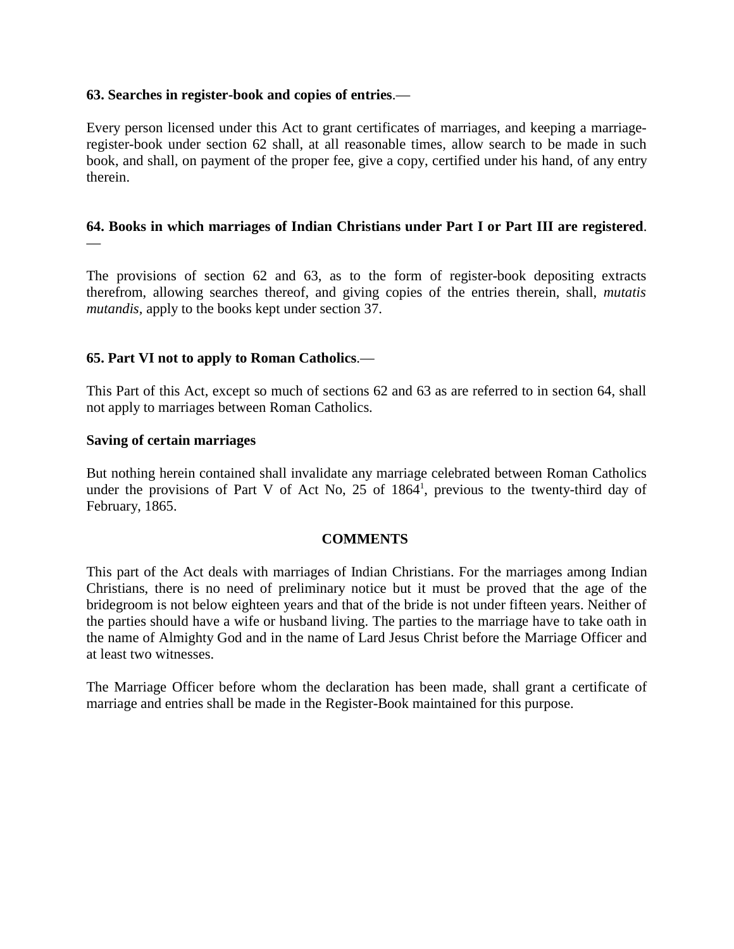#### **63. Searches in register-book and copies of entries**.—

Every person licensed under this Act to grant certificates of marriages, and keeping a marriageregister-book under section 62 shall, at all reasonable times, allow search to be made in such book, and shall, on payment of the proper fee, give a copy, certified under his hand, of any entry therein.

# **64. Books in which marriages of Indian Christians under Part I or Part III are registered**.

The provisions of section 62 and 63, as to the form of register-book depositing extracts therefrom, allowing searches thereof, and giving copies of the entries therein, shall, *mutatis mutandis,* apply to the books kept under section 37.

## **65. Part VI not to apply to Roman Catholics**.—

This Part of this Act, except so much of sections 62 and 63 as are referred to in section 64, shall not apply to marriages between Roman Catholics.

#### **Saving of certain marriages**

—

But nothing herein contained shall invalidate any marriage celebrated between Roman Catholics under the provisions of Part V of Act No, 25 of 1864<sup>1</sup>, previous to the twenty-third day of February, 1865.

#### **COMMENTS**

This part of the Act deals with marriages of Indian Christians. For the marriages among Indian Christians, there is no need of preliminary notice but it must be proved that the age of the bridegroom is not below eighteen years and that of the bride is not under fifteen years. Neither of the parties should have a wife or husband living. The parties to the marriage have to take oath in the name of Almighty God and in the name of Lard Jesus Christ before the Marriage Officer and at least two witnesses.

The Marriage Officer before whom the declaration has been made, shall grant a certificate of marriage and entries shall be made in the Register-Book maintained for this purpose.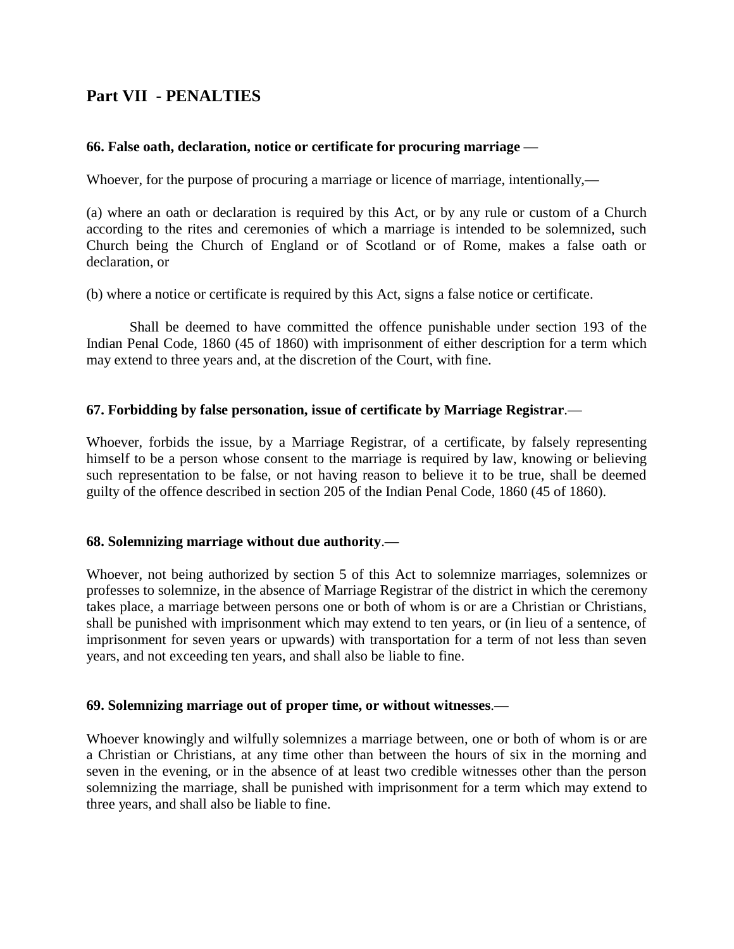# **Part VII - PENALTIES**

## **66. False oath, declaration, notice or certificate for procuring marriage** —

Whoever, for the purpose of procuring a marriage or licence of marriage, intentionally,—

(a) where an oath or declaration is required by this Act, or by any rule or custom of a Church according to the rites and ceremonies of which a marriage is intended to be solemnized, such Church being the Church of England or of Scotland or of Rome, makes a false oath or declaration, or

(b) where a notice or certificate is required by this Act, signs a false notice or certificate.

Shall be deemed to have committed the offence punishable under section 193 of the Indian Penal Code, 1860 (45 of 1860) with imprisonment of either description for a term which may extend to three years and, at the discretion of the Court, with fine.

#### **67. Forbidding by false personation, issue of certificate by Marriage Registrar**.—

Whoever, forbids the issue, by a Marriage Registrar, of a certificate, by falsely representing himself to be a person whose consent to the marriage is required by law, knowing or believing such representation to be false, or not having reason to believe it to be true, shall be deemed guilty of the offence described in section 205 of the Indian Penal Code, 1860 (45 of 1860).

## **68. Solemnizing marriage without due authority**.—

Whoever, not being authorized by section 5 of this Act to solemnize marriages, solemnizes or professes to solemnize, in the absence of Marriage Registrar of the district in which the ceremony takes place, a marriage between persons one or both of whom is or are a Christian or Christians, shall be punished with imprisonment which may extend to ten years, or (in lieu of a sentence, of imprisonment for seven years or upwards) with transportation for a term of not less than seven years, and not exceeding ten years, and shall also be liable to fine.

#### **69. Solemnizing marriage out of proper time, or without witnesses**.—

Whoever knowingly and wilfully solemnizes a marriage between, one or both of whom is or are a Christian or Christians, at any time other than between the hours of six in the morning and seven in the evening, or in the absence of at least two credible witnesses other than the person solemnizing the marriage, shall be punished with imprisonment for a term which may extend to three years, and shall also be liable to fine.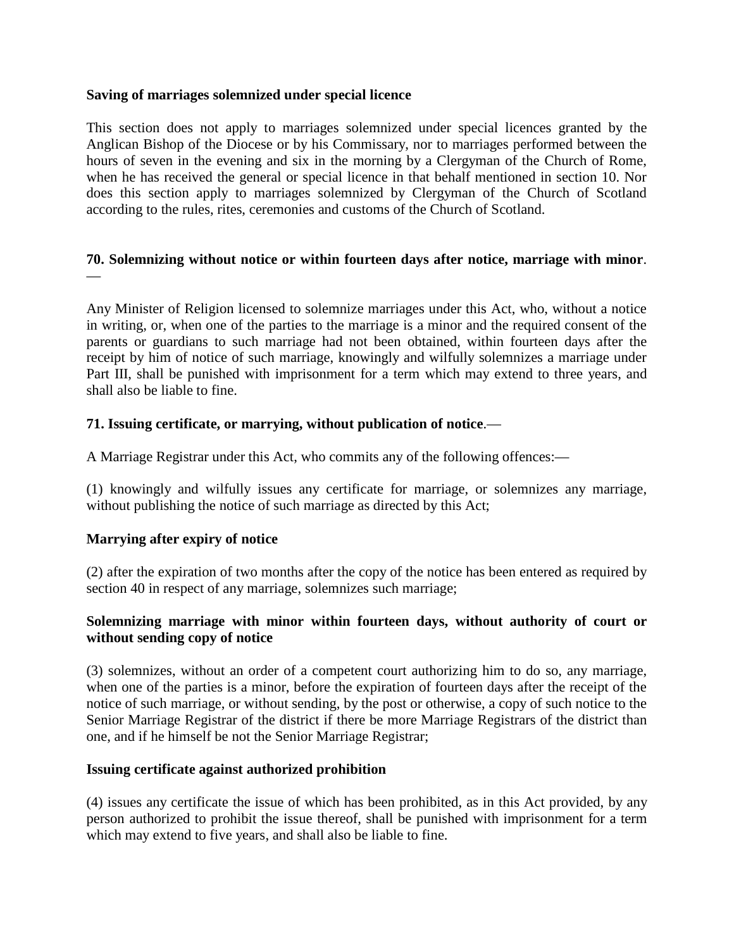## **Saving of marriages solemnized under special licence**

This section does not apply to marriages solemnized under special licences granted by the Anglican Bishop of the Diocese or by his Commissary, nor to marriages performed between the hours of seven in the evening and six in the morning by a Clergyman of the Church of Rome, when he has received the general or special licence in that behalf mentioned in section 10. Nor does this section apply to marriages solemnized by Clergyman of the Church of Scotland according to the rules, rites, ceremonies and customs of the Church of Scotland.

## **70. Solemnizing without notice or within fourteen days after notice, marriage with minor**. —

Any Minister of Religion licensed to solemnize marriages under this Act, who, without a notice in writing, or, when one of the parties to the marriage is a minor and the required consent of the parents or guardians to such marriage had not been obtained, within fourteen days after the receipt by him of notice of such marriage, knowingly and wilfully solemnizes a marriage under Part III, shall be punished with imprisonment for a term which may extend to three years, and shall also be liable to fine.

## **71. Issuing certificate, or marrying, without publication of notice**.—

A Marriage Registrar under this Act, who commits any of the following offences:—

(1) knowingly and wilfully issues any certificate for marriage, or solemnizes any marriage, without publishing the notice of such marriage as directed by this Act;

## **Marrying after expiry of notice**

(2) after the expiration of two months after the copy of the notice has been entered as required by section 40 in respect of any marriage, solemnizes such marriage;

## **Solemnizing marriage with minor within fourteen days, without authority of court or without sending copy of notice**

(3) solemnizes, without an order of a competent court authorizing him to do so, any marriage, when one of the parties is a minor, before the expiration of fourteen days after the receipt of the notice of such marriage, or without sending, by the post or otherwise, a copy of such notice to the Senior Marriage Registrar of the district if there be more Marriage Registrars of the district than one, and if he himself be not the Senior Marriage Registrar;

## **Issuing certificate against authorized prohibition**

(4) issues any certificate the issue of which has been prohibited, as in this Act provided, by any person authorized to prohibit the issue thereof, shall be punished with imprisonment for a term which may extend to five years, and shall also be liable to fine.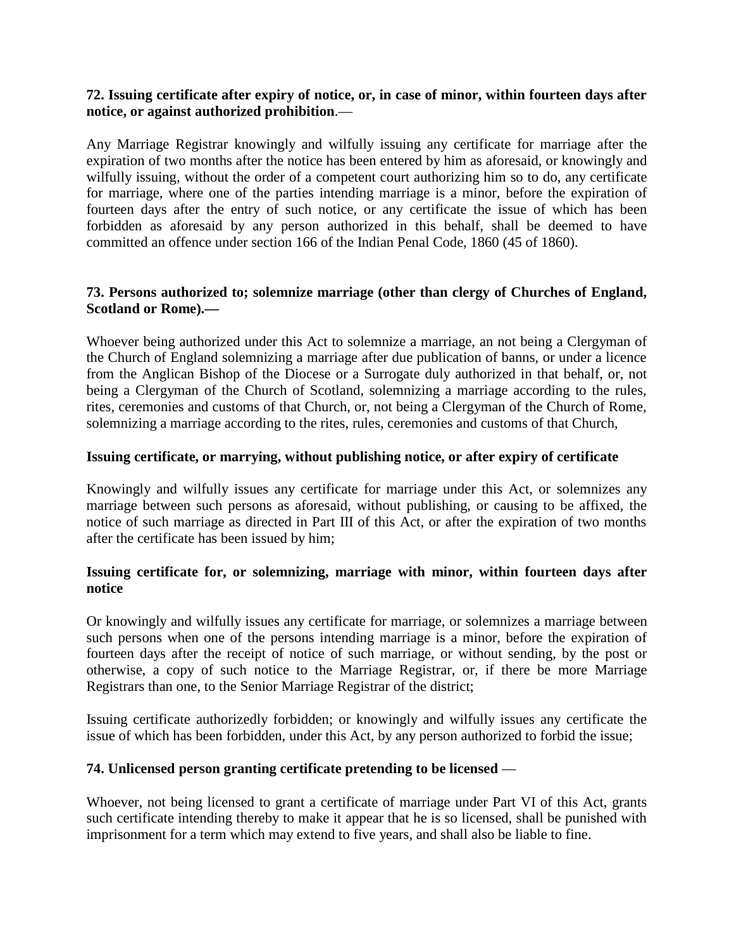## **72. Issuing certificate after expiry of notice, or, in case of minor, within fourteen days after notice, or against authorized prohibition**.—

Any Marriage Registrar knowingly and wilfully issuing any certificate for marriage after the expiration of two months after the notice has been entered by him as aforesaid, or knowingly and wilfully issuing, without the order of a competent court authorizing him so to do, any certificate for marriage, where one of the parties intending marriage is a minor, before the expiration of fourteen days after the entry of such notice, or any certificate the issue of which has been forbidden as aforesaid by any person authorized in this behalf, shall be deemed to have committed an offence under section 166 of the Indian Penal Code, 1860 (45 of 1860).

## **73. Persons authorized to; solemnize marriage (other than clergy of Churches of England, Scotland or Rome).—**

Whoever being authorized under this Act to solemnize a marriage, an not being a Clergyman of the Church of England solemnizing a marriage after due publication of banns, or under a licence from the Anglican Bishop of the Diocese or a Surrogate duly authorized in that behalf, or, not being a Clergyman of the Church of Scotland, solemnizing a marriage according to the rules, rites, ceremonies and customs of that Church, or, not being a Clergyman of the Church of Rome, solemnizing a marriage according to the rites, rules, ceremonies and customs of that Church,

## **Issuing certificate, or marrying, without publishing notice, or after expiry of certificate**

Knowingly and wilfully issues any certificate for marriage under this Act, or solemnizes any marriage between such persons as aforesaid, without publishing, or causing to be affixed, the notice of such marriage as directed in Part III of this Act, or after the expiration of two months after the certificate has been issued by him;

## **Issuing certificate for, or solemnizing, marriage with minor, within fourteen days after notice**

Or knowingly and wilfully issues any certificate for marriage, or solemnizes a marriage between such persons when one of the persons intending marriage is a minor, before the expiration of fourteen days after the receipt of notice of such marriage, or without sending, by the post or otherwise, a copy of such notice to the Marriage Registrar, or, if there be more Marriage Registrars than one, to the Senior Marriage Registrar of the district;

Issuing certificate authorizedly forbidden; or knowingly and wilfully issues any certificate the issue of which has been forbidden, under this Act, by any person authorized to forbid the issue;

## **74. Unlicensed person granting certificate pretending to be licensed** —

Whoever, not being licensed to grant a certificate of marriage under Part VI of this Act, grants such certificate intending thereby to make it appear that he is so licensed, shall be punished with imprisonment for a term which may extend to five years, and shall also be liable to fine.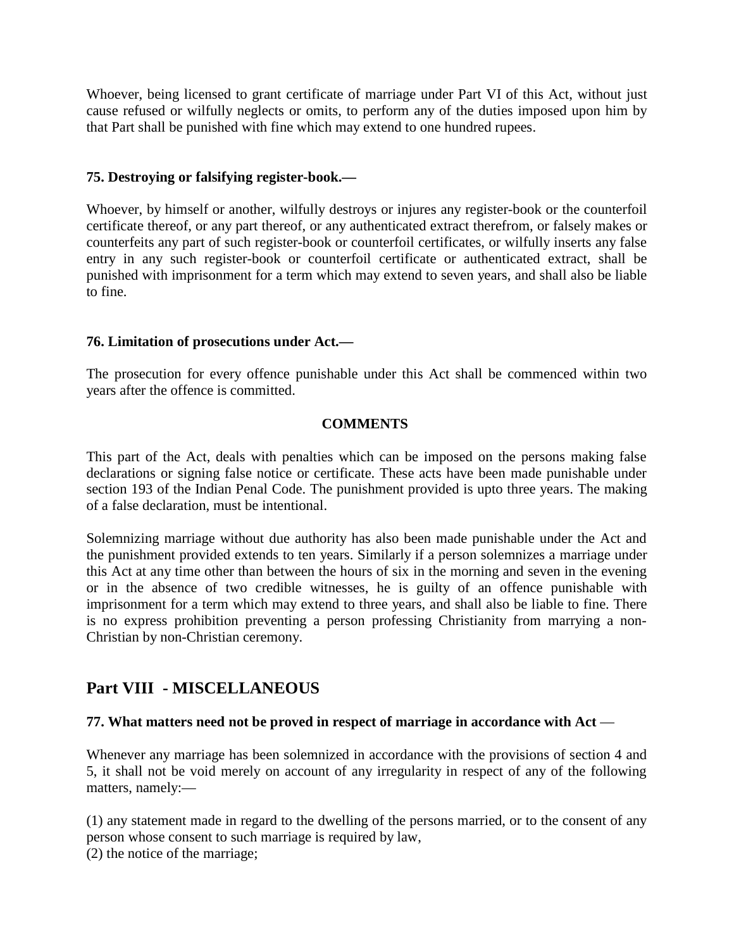Whoever, being licensed to grant certificate of marriage under Part VI of this Act, without just cause refused or wilfully neglects or omits, to perform any of the duties imposed upon him by that Part shall be punished with fine which may extend to one hundred rupees.

## **75. Destroying or falsifying register-book.—**

Whoever, by himself or another, wilfully destroys or injures any register-book or the counterfoil certificate thereof, or any part thereof, or any authenticated extract therefrom, or falsely makes or counterfeits any part of such register-book or counterfoil certificates, or wilfully inserts any false entry in any such register-book or counterfoil certificate or authenticated extract, shall be punished with imprisonment for a term which may extend to seven years, and shall also be liable to fine.

## **76. Limitation of prosecutions under Act.—**

The prosecution for every offence punishable under this Act shall be commenced within two years after the offence is committed.

## **COMMENTS**

This part of the Act, deals with penalties which can be imposed on the persons making false declarations or signing false notice or certificate. These acts have been made punishable under section 193 of the Indian Penal Code. The punishment provided is upto three years. The making of a false declaration, must be intentional.

Solemnizing marriage without due authority has also been made punishable under the Act and the punishment provided extends to ten years. Similarly if a person solemnizes a marriage under this Act at any time other than between the hours of six in the morning and seven in the evening or in the absence of two credible witnesses, he is guilty of an offence punishable with imprisonment for a term which may extend to three years, and shall also be liable to fine. There is no express prohibition preventing a person professing Christianity from marrying a non-Christian by non-Christian ceremony.

# **Part VIII - MISCELLANEOUS**

## **77. What matters need not be proved in respect of marriage in accordance with Act** —

Whenever any marriage has been solemnized in accordance with the provisions of section 4 and 5, it shall not be void merely on account of any irregularity in respect of any of the following matters, namely:—

(1) any statement made in regard to the dwelling of the persons married, or to the consent of any person whose consent to such marriage is required by law, (2) the notice of the marriage;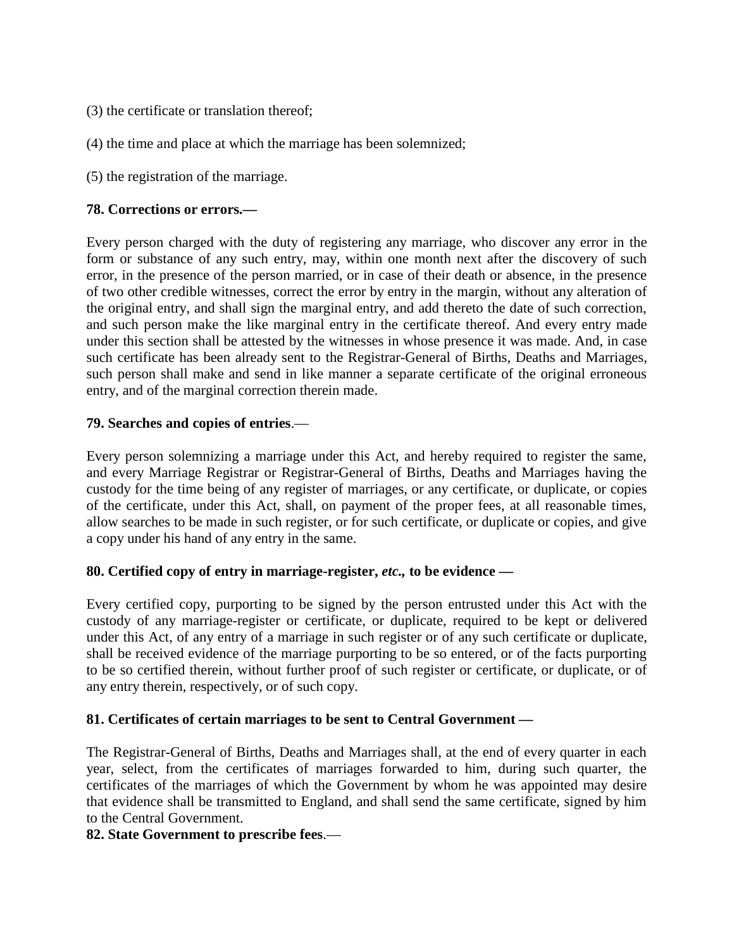- (3) the certificate or translation thereof;
- (4) the time and place at which the marriage has been solemnized;
- (5) the registration of the marriage.

## **78. Corrections or errors.—**

Every person charged with the duty of registering any marriage, who discover any error in the form or substance of any such entry, may, within one month next after the discovery of such error, in the presence of the person married, or in case of their death or absence, in the presence of two other credible witnesses, correct the error by entry in the margin, without any alteration of the original entry, and shall sign the marginal entry, and add thereto the date of such correction, and such person make the like marginal entry in the certificate thereof. And every entry made under this section shall be attested by the witnesses in whose presence it was made. And, in case such certificate has been already sent to the Registrar-General of Births, Deaths and Marriages, such person shall make and send in like manner a separate certificate of the original erroneous entry, and of the marginal correction therein made.

## **79. Searches and copies of entries**.—

Every person solemnizing a marriage under this Act, and hereby required to register the same, and every Marriage Registrar or Registrar-General of Births, Deaths and Marriages having the custody for the time being of any register of marriages, or any certificate, or duplicate, or copies of the certificate, under this Act, shall, on payment of the proper fees, at all reasonable times, allow searches to be made in such register, or for such certificate, or duplicate or copies, and give a copy under his hand of any entry in the same.

## **80. Certified copy of entry in marriage-register,** *etc.,* **to be evidence —**

Every certified copy, purporting to be signed by the person entrusted under this Act with the custody of any marriage-register or certificate, or duplicate, required to be kept or delivered under this Act, of any entry of a marriage in such register or of any such certificate or duplicate, shall be received evidence of the marriage purporting to be so entered, or of the facts purporting to be so certified therein, without further proof of such register or certificate, or duplicate, or of any entry therein, respectively, or of such copy.

## **81. Certificates of certain marriages to be sent to Central Government —**

The Registrar-General of Births, Deaths and Marriages shall, at the end of every quarter in each year, select, from the certificates of marriages forwarded to him, during such quarter, the certificates of the marriages of which the Government by whom he was appointed may desire that evidence shall be transmitted to England, and shall send the same certificate, signed by him to the Central Government.

## **82. State Government to prescribe fees**.—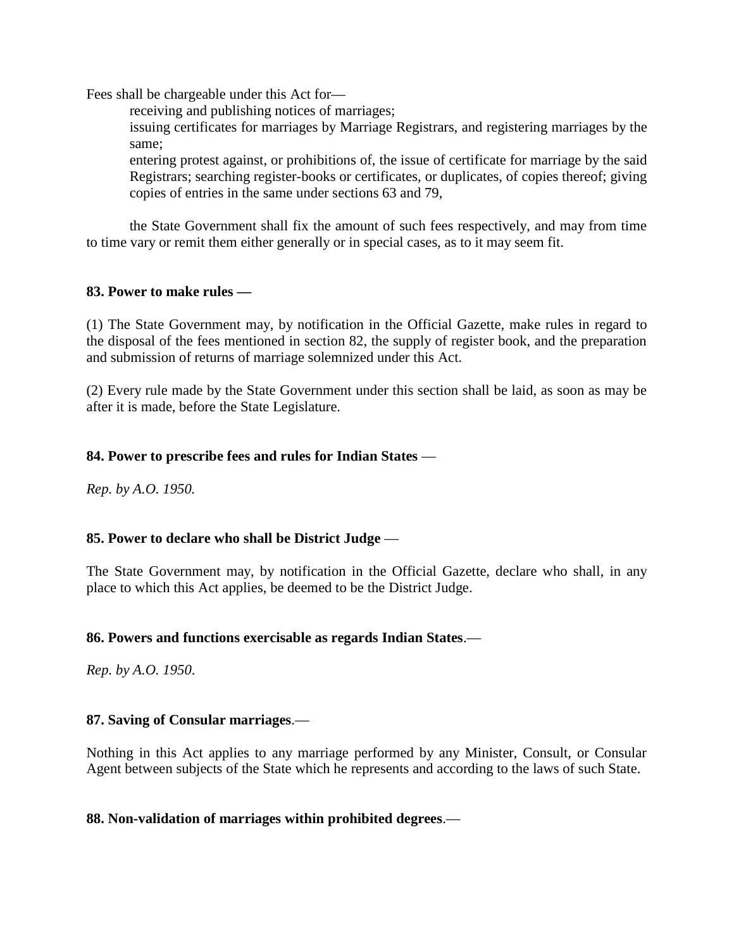Fees shall be chargeable under this Act for—

receiving and publishing notices of marriages;

issuing certificates for marriages by Marriage Registrars, and registering marriages by the same;

entering protest against, or prohibitions of, the issue of certificate for marriage by the said Registrars; searching register-books or certificates, or duplicates, of copies thereof; giving copies of entries in the same under sections 63 and 79,

the State Government shall fix the amount of such fees respectively, and may from time to time vary or remit them either generally or in special cases, as to it may seem fit.

## **83. Power to make rules —**

(1) The State Government may, by notification in the Official Gazette, make rules in regard to the disposal of the fees mentioned in section 82, the supply of register book, and the preparation and submission of returns of marriage solemnized under this Act.

(2) Every rule made by the State Government under this section shall be laid, as soon as may be after it is made, before the State Legislature.

## **84. Power to prescribe fees and rules for Indian States** —

*Rep. by A.O. 1950.*

## **85. Power to declare who shall be District Judge** —

The State Government may, by notification in the Official Gazette, declare who shall, in any place to which this Act applies, be deemed to be the District Judge.

## **86. Powers and functions exercisable as regards Indian States**.—

*Rep. by A.O. 1950*.

## **87. Saving of Consular marriages**.—

Nothing in this Act applies to any marriage performed by any Minister, Consult, or Consular Agent between subjects of the State which he represents and according to the laws of such State.

## **88. Non-validation of marriages within prohibited degrees**.—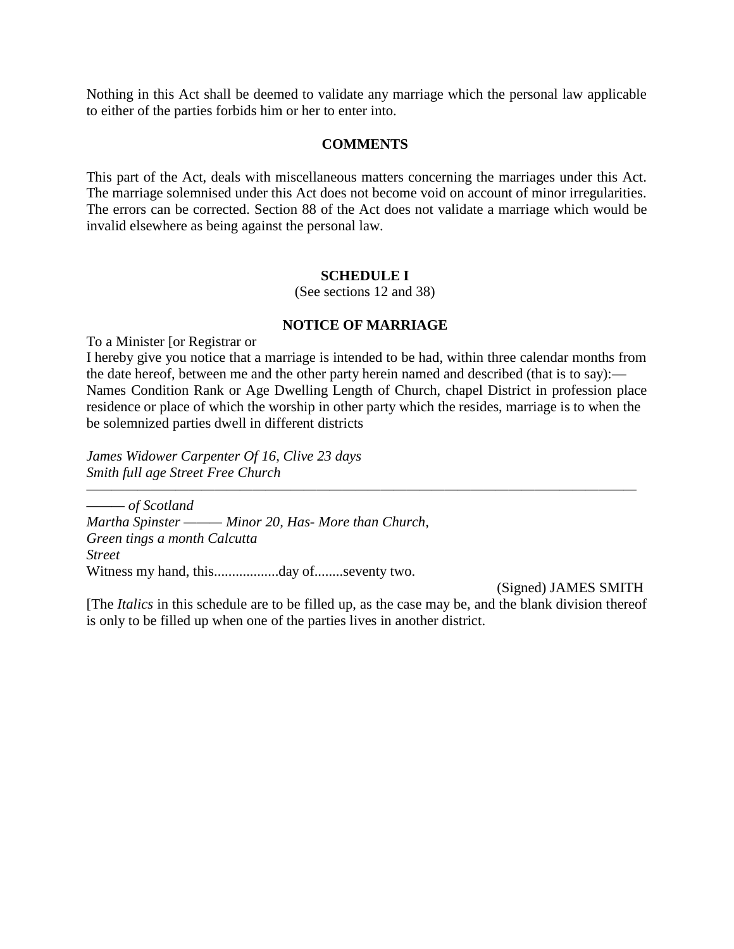Nothing in this Act shall be deemed to validate any marriage which the personal law applicable to either of the parties forbids him or her to enter into.

## **COMMENTS**

This part of the Act, deals with miscellaneous matters concerning the marriages under this Act. The marriage solemnised under this Act does not become void on account of minor irregularities. The errors can be corrected. Section 88 of the Act does not validate a marriage which would be invalid elsewhere as being against the personal law.

#### **SCHEDULE I**

(See sections 12 and 38)

## **NOTICE OF MARRIAGE**

To a Minister [or Registrar or

I hereby give you notice that a marriage is intended to be had, within three calendar months from the date hereof, between me and the other party herein named and described (that is to say):— Names Condition Rank or Age Dwelling Length of Church, chapel District in profession place residence or place of which the worship in other party which the resides, marriage is to when the be solemnized parties dwell in different districts

*James Widower Carpenter Of 16, Clive 23 days Smith full age Street Free Church* 

*——————————————————————————————————————————— ——— of Scotland Martha Spinster ——— Minor 20, Has- More than Church, Green tings a month Calcutta Street* Witness my hand, this..................day of........seventy two.

(Signed) JAMES SMITH

[The *Italics* in this schedule are to be filled up, as the case may be, and the blank division thereof is only to be filled up when one of the parties lives in another district.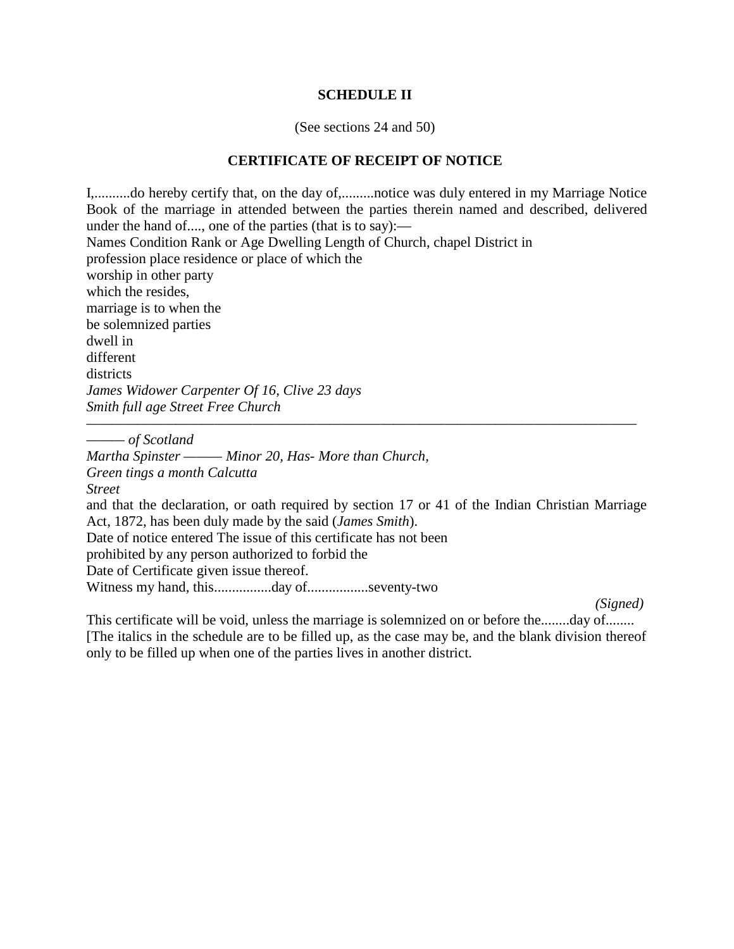#### **SCHEDULE II**

(See sections 24 and 50)

## **CERTIFICATE OF RECEIPT OF NOTICE**

I,..........do hereby certify that, on the day of,.........notice was duly entered in my Marriage Notice Book of the marriage in attended between the parties therein named and described, delivered under the hand of...., one of the parties (that is to say):— Names Condition Rank or Age Dwelling Length of Church, chapel District in profession place residence or place of which the worship in other party which the resides, marriage is to when the be solemnized parties dwell in different districts *James Widower Carpenter Of 16, Clive 23 days Smith full age Street Free Church* 

*——— of Scotland* 

*Martha Spinster ——— Minor 20, Has- More than Church, Green tings a month Calcutta Street* and that the declaration, or oath required by section 17 or 41 of the Indian Christian Marriage Act, 1872, has been duly made by the said (*James Smith*). Date of notice entered The issue of this certificate has not been prohibited by any person authorized to forbid the Date of Certificate given issue thereof. Witness my hand, this................day of.................seventy-two

*———————————————————————————————————————————*

*(Signed)*

This certificate will be void, unless the marriage is solemnized on or before the........day of........ [The italics in the schedule are to be filled up, as the case may be, and the blank division thereof only to be filled up when one of the parties lives in another district.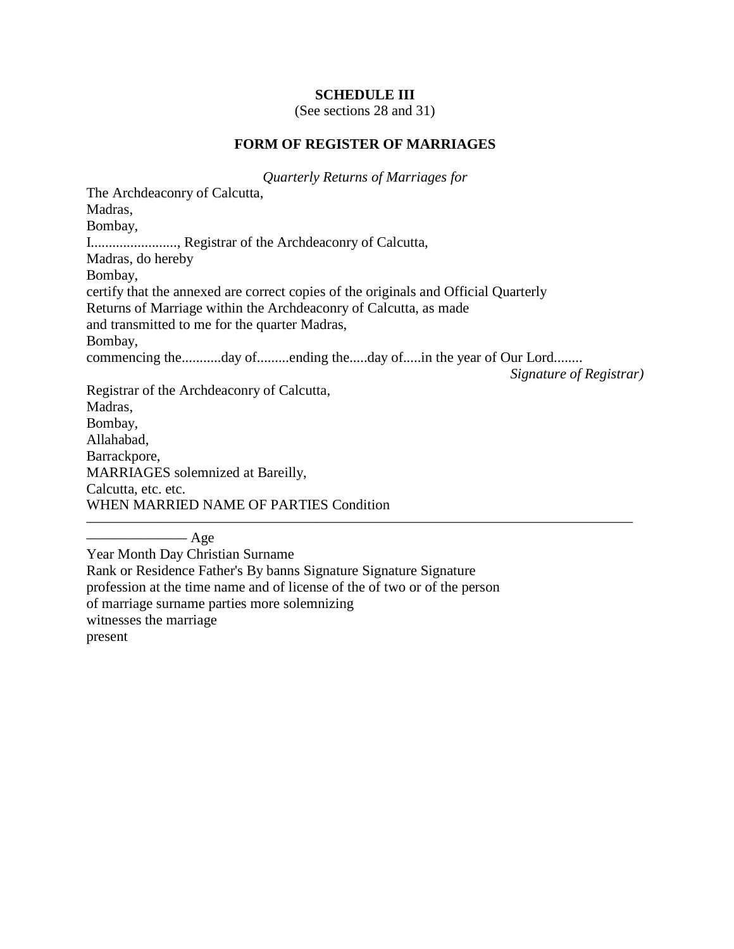#### **SCHEDULE III**

(See sections 28 and 31)

#### **FORM OF REGISTER OF MARRIAGES**

*Quarterly Returns of Marriages for*

The Archdeaconry of Calcutta, Madras, Bombay, I........................, Registrar of the Archdeaconry of Calcutta, Madras, do hereby Bombay, certify that the annexed are correct copies of the originals and Official Quarterly Returns of Marriage within the Archdeaconry of Calcutta, as made and transmitted to me for the quarter Madras, Bombay, commencing the...........day of.........ending the.....day of.....in the year of Our Lord........ *Signature of Registrar)* Registrar of the Archdeaconry of Calcutta, Madras, Bombay, Allahabad, Barrackpore, MARRIAGES solemnized at Bareilly, Calcutta, etc. etc. WHEN MARRIED NAME OF PARTIES Condition ——————————————————————————————————————

 $-$  Age Year Month Day Christian Surname Rank or Residence Father's By banns Signature Signature Signature profession at the time name and of license of the of two or of the person of marriage surname parties more solemnizing witnesses the marriage present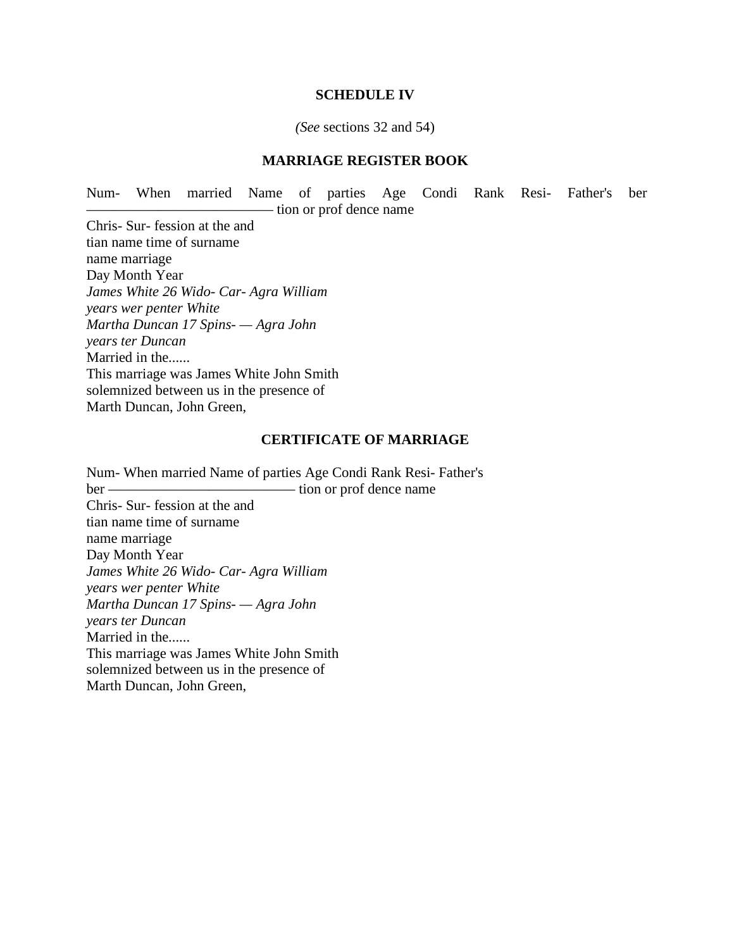#### **SCHEDULE IV**

#### *(See* sections 32 and 54)

#### **MARRIAGE REGISTER BOOK**

Num- When married Name of parties Age Condi Rank Resi- Father's ber — tion or prof dence name

Chris- Sur- fession at the and tian name time of surname name marriage Day Month Year *James White 26 Wido- Car- Agra William years wer penter White Martha Duncan 17 Spins- — Agra John years ter Duncan* Married in the...... This marriage was James White John Smith solemnized between us in the presence of Marth Duncan, John Green,

#### **CERTIFICATE OF MARRIAGE**

Num- When married Name of parties Age Condi Rank Resi- Father's ber ————————————— tion or prof dence name Chris- Sur- fession at the and tian name time of surname name marriage Day Month Year *James White 26 Wido- Car- Agra William years wer penter White Martha Duncan 17 Spins- — Agra John years ter Duncan* Married in the...... This marriage was James White John Smith solemnized between us in the presence of Marth Duncan, John Green,